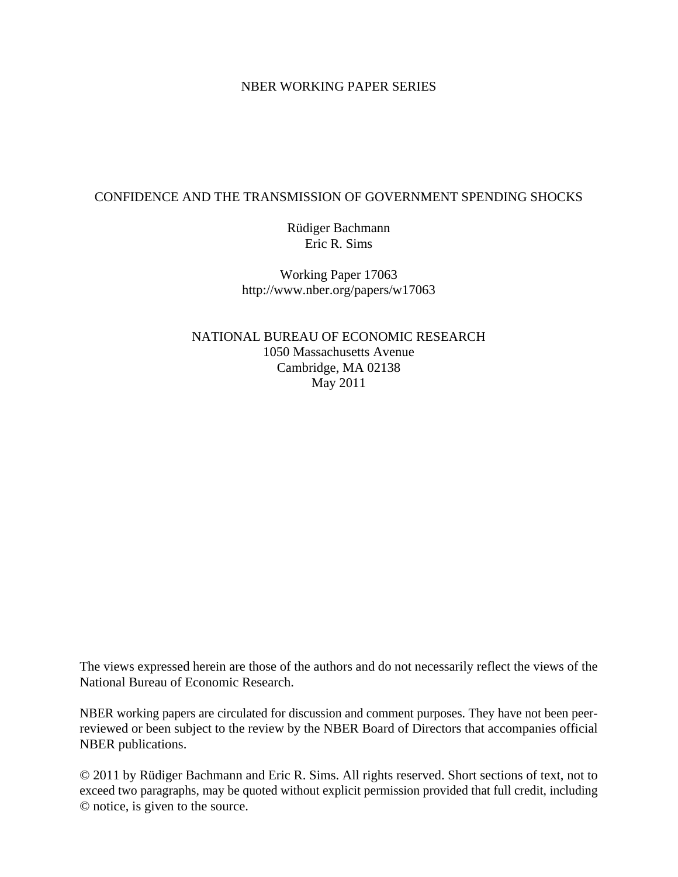#### NBER WORKING PAPER SERIES

### CONFIDENCE AND THE TRANSMISSION OF GOVERNMENT SPENDING SHOCKS

Rüdiger Bachmann Eric R. Sims

Working Paper 17063 http://www.nber.org/papers/w17063

NATIONAL BUREAU OF ECONOMIC RESEARCH 1050 Massachusetts Avenue Cambridge, MA 02138 May 2011

The views expressed herein are those of the authors and do not necessarily reflect the views of the National Bureau of Economic Research.

NBER working papers are circulated for discussion and comment purposes. They have not been peerreviewed or been subject to the review by the NBER Board of Directors that accompanies official NBER publications.

© 2011 by Rüdiger Bachmann and Eric R. Sims. All rights reserved. Short sections of text, not to exceed two paragraphs, may be quoted without explicit permission provided that full credit, including © notice, is given to the source.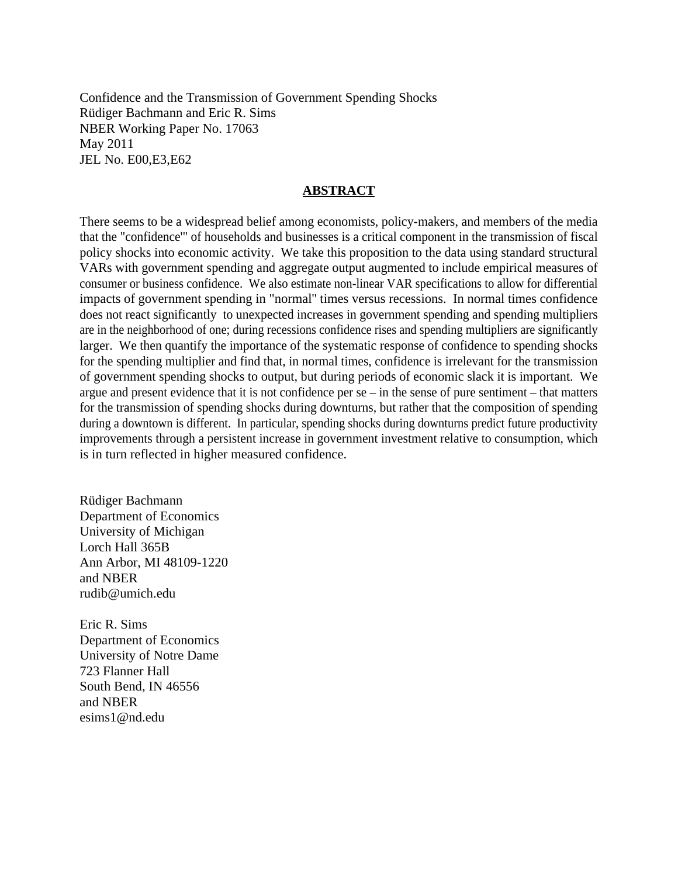Confidence and the Transmission of Government Spending Shocks Rüdiger Bachmann and Eric R. Sims NBER Working Paper No. 17063 May 2011 JEL No. E00,E3,E62

### **ABSTRACT**

There seems to be a widespread belief among economists, policy-makers, and members of the media that the "confidence'" of households and businesses is a critical component in the transmission of fiscal policy shocks into economic activity. We take this proposition to the data using standard structural VARs with government spending and aggregate output augmented to include empirical measures of consumer or business confidence. We also estimate non-linear VAR specifications to allow for differential impacts of government spending in "normal'' times versus recessions. In normal times confidence does not react significantly to unexpected increases in government spending and spending multipliers are in the neighborhood of one; during recessions confidence rises and spending multipliers are significantly larger. We then quantify the importance of the systematic response of confidence to spending shocks for the spending multiplier and find that, in normal times, confidence is irrelevant for the transmission of government spending shocks to output, but during periods of economic slack it is important. We argue and present evidence that it is not confidence per se – in the sense of pure sentiment – that matters for the transmission of spending shocks during downturns, but rather that the composition of spending during a downtown is different. In particular, spending shocks during downturns predict future productivity improvements through a persistent increase in government investment relative to consumption, which is in turn reflected in higher measured confidence.

Rüdiger Bachmann Department of Economics University of Michigan Lorch Hall 365B Ann Arbor, MI 48109-1220 and NBER rudib@umich.edu

Eric R. Sims Department of Economics University of Notre Dame 723 Flanner Hall South Bend, IN 46556 and NBER esims1@nd.edu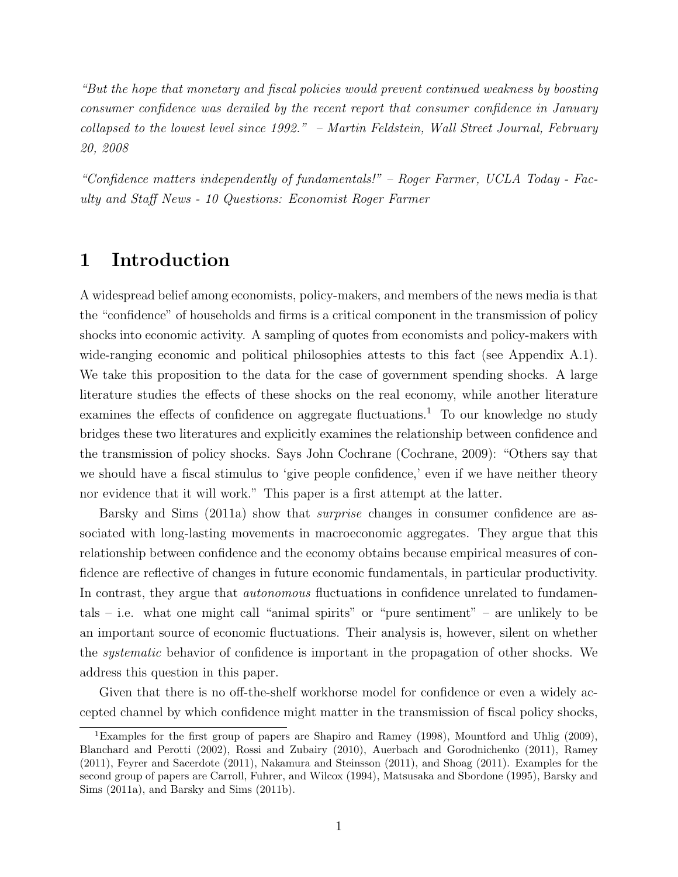"But the hope that monetary and fiscal policies would prevent continued weakness by boosting consumer confidence was derailed by the recent report that consumer confidence in January collapsed to the lowest level since 1992." – Martin Feldstein, Wall Street Journal, February 20, 2008

"Confidence matters independently of fundamentals!" – Roger Farmer, UCLA Today - Faculty and Staff News - 10 Questions: Economist Roger Farmer

## 1 Introduction

A widespread belief among economists, policy-makers, and members of the news media is that the "confidence" of households and firms is a critical component in the transmission of policy shocks into economic activity. A sampling of quotes from economists and policy-makers with wide-ranging economic and political philosophies attests to this fact (see Appendix A.1). We take this proposition to the data for the case of government spending shocks. A large literature studies the effects of these shocks on the real economy, while another literature examines the effects of confidence on aggregate fluctuations.<sup>1</sup> To our knowledge no study bridges these two literatures and explicitly examines the relationship between confidence and the transmission of policy shocks. Says John Cochrane (Cochrane, 2009): "Others say that we should have a fiscal stimulus to 'give people confidence,' even if we have neither theory nor evidence that it will work." This paper is a first attempt at the latter.

Barsky and Sims (2011a) show that *surprise* changes in consumer confidence are associated with long-lasting movements in macroeconomic aggregates. They argue that this relationship between confidence and the economy obtains because empirical measures of confidence are reflective of changes in future economic fundamentals, in particular productivity. In contrast, they argue that *autonomous* fluctuations in confidence unrelated to fundamentals – i.e. what one might call "animal spirits" or "pure sentiment" – are unlikely to be an important source of economic fluctuations. Their analysis is, however, silent on whether the systematic behavior of confidence is important in the propagation of other shocks. We address this question in this paper.

Given that there is no off-the-shelf workhorse model for confidence or even a widely accepted channel by which confidence might matter in the transmission of fiscal policy shocks,

<sup>1</sup>Examples for the first group of papers are Shapiro and Ramey (1998), Mountford and Uhlig (2009), Blanchard and Perotti (2002), Rossi and Zubairy (2010), Auerbach and Gorodnichenko (2011), Ramey (2011), Feyrer and Sacerdote (2011), Nakamura and Steinsson (2011), and Shoag (2011). Examples for the second group of papers are Carroll, Fuhrer, and Wilcox (1994), Matsusaka and Sbordone (1995), Barsky and Sims (2011a), and Barsky and Sims (2011b).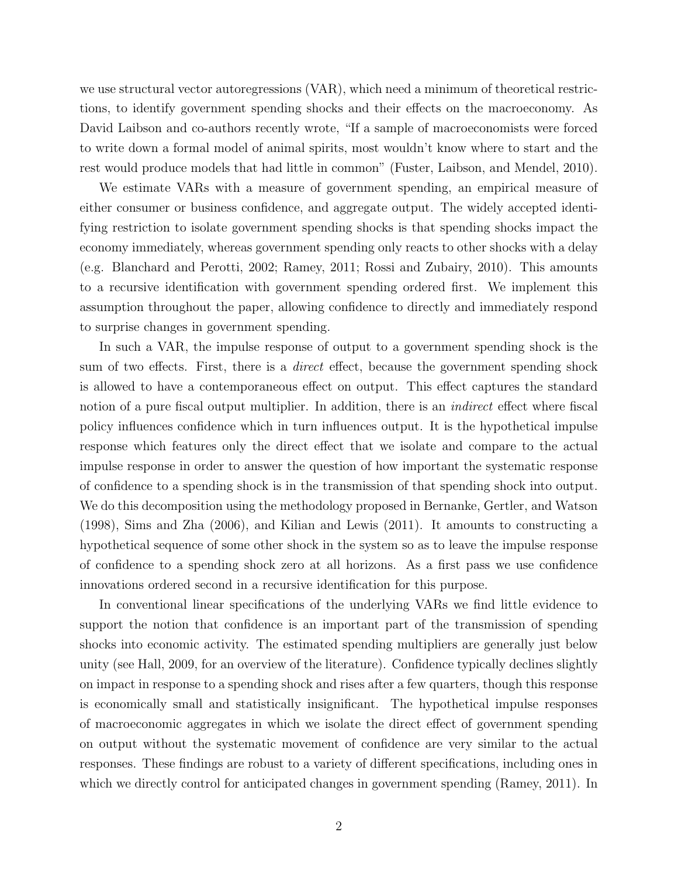we use structural vector autoregressions (VAR), which need a minimum of theoretical restrictions, to identify government spending shocks and their effects on the macroeconomy. As David Laibson and co-authors recently wrote, "If a sample of macroeconomists were forced to write down a formal model of animal spirits, most wouldn't know where to start and the rest would produce models that had little in common" (Fuster, Laibson, and Mendel, 2010).

We estimate VARs with a measure of government spending, an empirical measure of either consumer or business confidence, and aggregate output. The widely accepted identifying restriction to isolate government spending shocks is that spending shocks impact the economy immediately, whereas government spending only reacts to other shocks with a delay (e.g. Blanchard and Perotti, 2002; Ramey, 2011; Rossi and Zubairy, 2010). This amounts to a recursive identification with government spending ordered first. We implement this assumption throughout the paper, allowing confidence to directly and immediately respond to surprise changes in government spending.

In such a VAR, the impulse response of output to a government spending shock is the sum of two effects. First, there is a *direct* effect, because the government spending shock is allowed to have a contemporaneous effect on output. This effect captures the standard notion of a pure fiscal output multiplier. In addition, there is an *indirect* effect where fiscal policy influences confidence which in turn influences output. It is the hypothetical impulse response which features only the direct effect that we isolate and compare to the actual impulse response in order to answer the question of how important the systematic response of confidence to a spending shock is in the transmission of that spending shock into output. We do this decomposition using the methodology proposed in Bernanke, Gertler, and Watson (1998), Sims and Zha (2006), and Kilian and Lewis (2011). It amounts to constructing a hypothetical sequence of some other shock in the system so as to leave the impulse response of confidence to a spending shock zero at all horizons. As a first pass we use confidence innovations ordered second in a recursive identification for this purpose.

In conventional linear specifications of the underlying VARs we find little evidence to support the notion that confidence is an important part of the transmission of spending shocks into economic activity. The estimated spending multipliers are generally just below unity (see Hall, 2009, for an overview of the literature). Confidence typically declines slightly on impact in response to a spending shock and rises after a few quarters, though this response is economically small and statistically insignificant. The hypothetical impulse responses of macroeconomic aggregates in which we isolate the direct effect of government spending on output without the systematic movement of confidence are very similar to the actual responses. These findings are robust to a variety of different specifications, including ones in which we directly control for anticipated changes in government spending (Ramey, 2011). In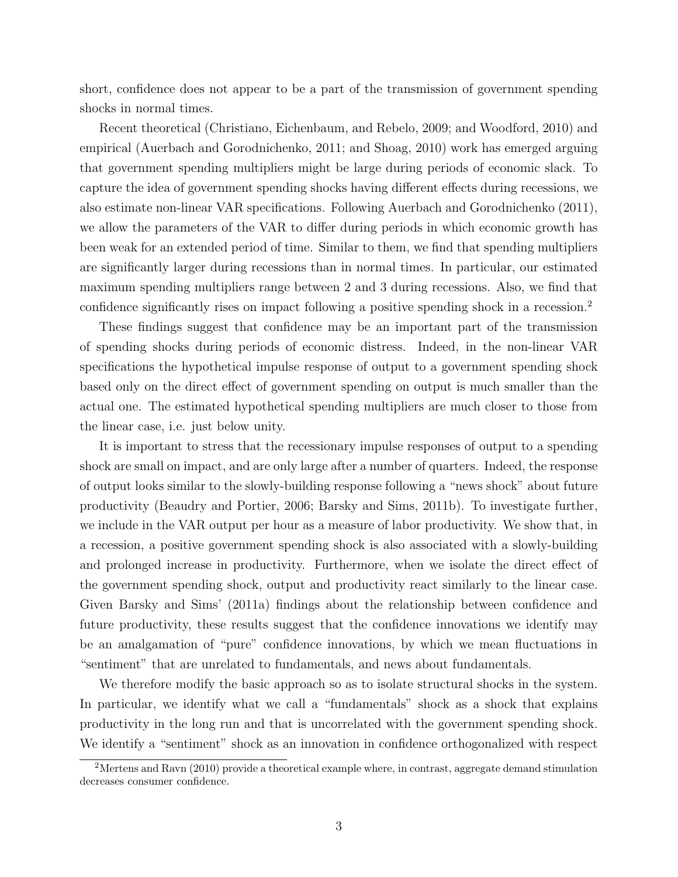short, confidence does not appear to be a part of the transmission of government spending shocks in normal times.

Recent theoretical (Christiano, Eichenbaum, and Rebelo, 2009; and Woodford, 2010) and empirical (Auerbach and Gorodnichenko, 2011; and Shoag, 2010) work has emerged arguing that government spending multipliers might be large during periods of economic slack. To capture the idea of government spending shocks having different effects during recessions, we also estimate non-linear VAR specifications. Following Auerbach and Gorodnichenko (2011), we allow the parameters of the VAR to differ during periods in which economic growth has been weak for an extended period of time. Similar to them, we find that spending multipliers are significantly larger during recessions than in normal times. In particular, our estimated maximum spending multipliers range between 2 and 3 during recessions. Also, we find that confidence significantly rises on impact following a positive spending shock in a recession.<sup>2</sup>

These findings suggest that confidence may be an important part of the transmission of spending shocks during periods of economic distress. Indeed, in the non-linear VAR specifications the hypothetical impulse response of output to a government spending shock based only on the direct effect of government spending on output is much smaller than the actual one. The estimated hypothetical spending multipliers are much closer to those from the linear case, i.e. just below unity.

It is important to stress that the recessionary impulse responses of output to a spending shock are small on impact, and are only large after a number of quarters. Indeed, the response of output looks similar to the slowly-building response following a "news shock" about future productivity (Beaudry and Portier, 2006; Barsky and Sims, 2011b). To investigate further, we include in the VAR output per hour as a measure of labor productivity. We show that, in a recession, a positive government spending shock is also associated with a slowly-building and prolonged increase in productivity. Furthermore, when we isolate the direct effect of the government spending shock, output and productivity react similarly to the linear case. Given Barsky and Sims' (2011a) findings about the relationship between confidence and future productivity, these results suggest that the confidence innovations we identify may be an amalgamation of "pure" confidence innovations, by which we mean fluctuations in "sentiment" that are unrelated to fundamentals, and news about fundamentals.

We therefore modify the basic approach so as to isolate structural shocks in the system. In particular, we identify what we call a "fundamentals" shock as a shock that explains productivity in the long run and that is uncorrelated with the government spending shock. We identify a "sentiment" shock as an innovation in confidence orthogonalized with respect

<sup>&</sup>lt;sup>2</sup>Mertens and Ravn (2010) provide a theoretical example where, in contrast, aggregate demand stimulation decreases consumer confidence.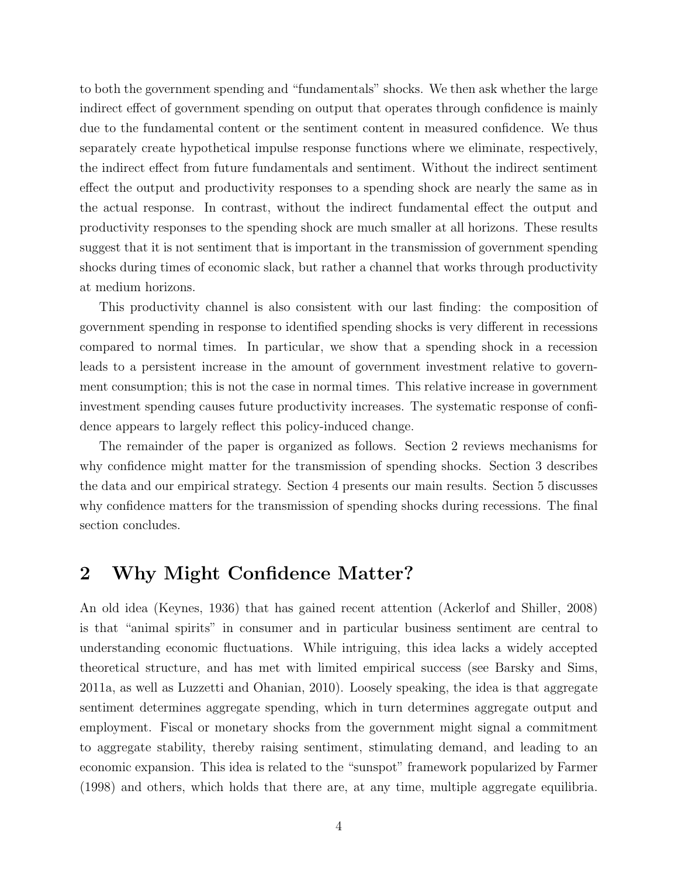to both the government spending and "fundamentals" shocks. We then ask whether the large indirect effect of government spending on output that operates through confidence is mainly due to the fundamental content or the sentiment content in measured confidence. We thus separately create hypothetical impulse response functions where we eliminate, respectively, the indirect effect from future fundamentals and sentiment. Without the indirect sentiment effect the output and productivity responses to a spending shock are nearly the same as in the actual response. In contrast, without the indirect fundamental effect the output and productivity responses to the spending shock are much smaller at all horizons. These results suggest that it is not sentiment that is important in the transmission of government spending shocks during times of economic slack, but rather a channel that works through productivity at medium horizons.

This productivity channel is also consistent with our last finding: the composition of government spending in response to identified spending shocks is very different in recessions compared to normal times. In particular, we show that a spending shock in a recession leads to a persistent increase in the amount of government investment relative to government consumption; this is not the case in normal times. This relative increase in government investment spending causes future productivity increases. The systematic response of confidence appears to largely reflect this policy-induced change.

The remainder of the paper is organized as follows. Section 2 reviews mechanisms for why confidence might matter for the transmission of spending shocks. Section 3 describes the data and our empirical strategy. Section 4 presents our main results. Section 5 discusses why confidence matters for the transmission of spending shocks during recessions. The final section concludes.

## 2 Why Might Confidence Matter?

An old idea (Keynes, 1936) that has gained recent attention (Ackerlof and Shiller, 2008) is that "animal spirits" in consumer and in particular business sentiment are central to understanding economic fluctuations. While intriguing, this idea lacks a widely accepted theoretical structure, and has met with limited empirical success (see Barsky and Sims, 2011a, as well as Luzzetti and Ohanian, 2010). Loosely speaking, the idea is that aggregate sentiment determines aggregate spending, which in turn determines aggregate output and employment. Fiscal or monetary shocks from the government might signal a commitment to aggregate stability, thereby raising sentiment, stimulating demand, and leading to an economic expansion. This idea is related to the "sunspot" framework popularized by Farmer (1998) and others, which holds that there are, at any time, multiple aggregate equilibria.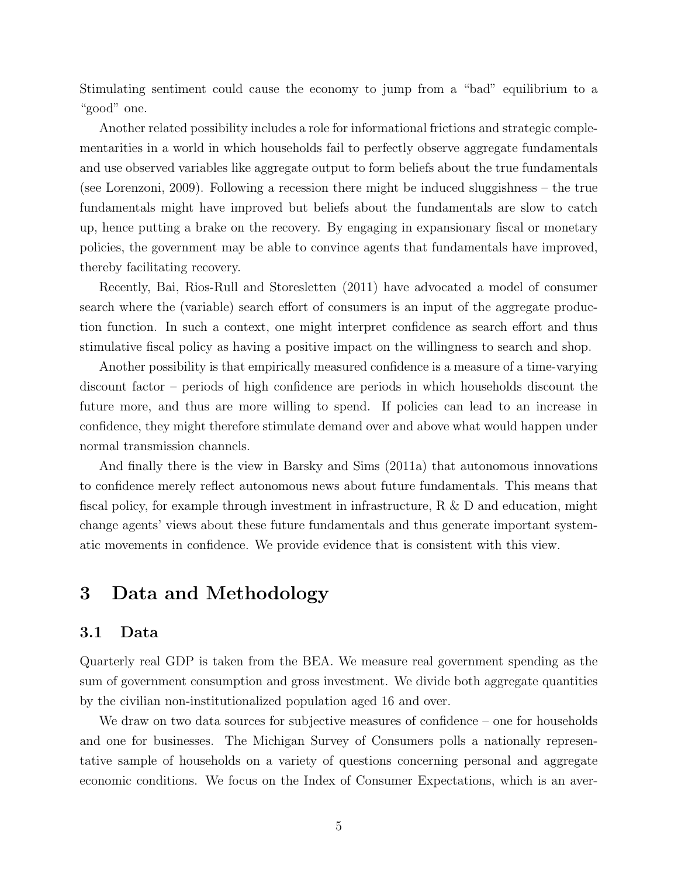Stimulating sentiment could cause the economy to jump from a "bad" equilibrium to a "good" one.

Another related possibility includes a role for informational frictions and strategic complementarities in a world in which households fail to perfectly observe aggregate fundamentals and use observed variables like aggregate output to form beliefs about the true fundamentals (see Lorenzoni, 2009). Following a recession there might be induced sluggishness – the true fundamentals might have improved but beliefs about the fundamentals are slow to catch up, hence putting a brake on the recovery. By engaging in expansionary fiscal or monetary policies, the government may be able to convince agents that fundamentals have improved, thereby facilitating recovery.

Recently, Bai, Rios-Rull and Storesletten (2011) have advocated a model of consumer search where the (variable) search effort of consumers is an input of the aggregate production function. In such a context, one might interpret confidence as search effort and thus stimulative fiscal policy as having a positive impact on the willingness to search and shop.

Another possibility is that empirically measured confidence is a measure of a time-varying discount factor – periods of high confidence are periods in which households discount the future more, and thus are more willing to spend. If policies can lead to an increase in confidence, they might therefore stimulate demand over and above what would happen under normal transmission channels.

And finally there is the view in Barsky and Sims (2011a) that autonomous innovations to confidence merely reflect autonomous news about future fundamentals. This means that fiscal policy, for example through investment in infrastructure, R & D and education, might change agents' views about these future fundamentals and thus generate important systematic movements in confidence. We provide evidence that is consistent with this view.

## 3 Data and Methodology

#### 3.1 Data

Quarterly real GDP is taken from the BEA. We measure real government spending as the sum of government consumption and gross investment. We divide both aggregate quantities by the civilian non-institutionalized population aged 16 and over.

We draw on two data sources for subjective measures of confidence – one for households and one for businesses. The Michigan Survey of Consumers polls a nationally representative sample of households on a variety of questions concerning personal and aggregate economic conditions. We focus on the Index of Consumer Expectations, which is an aver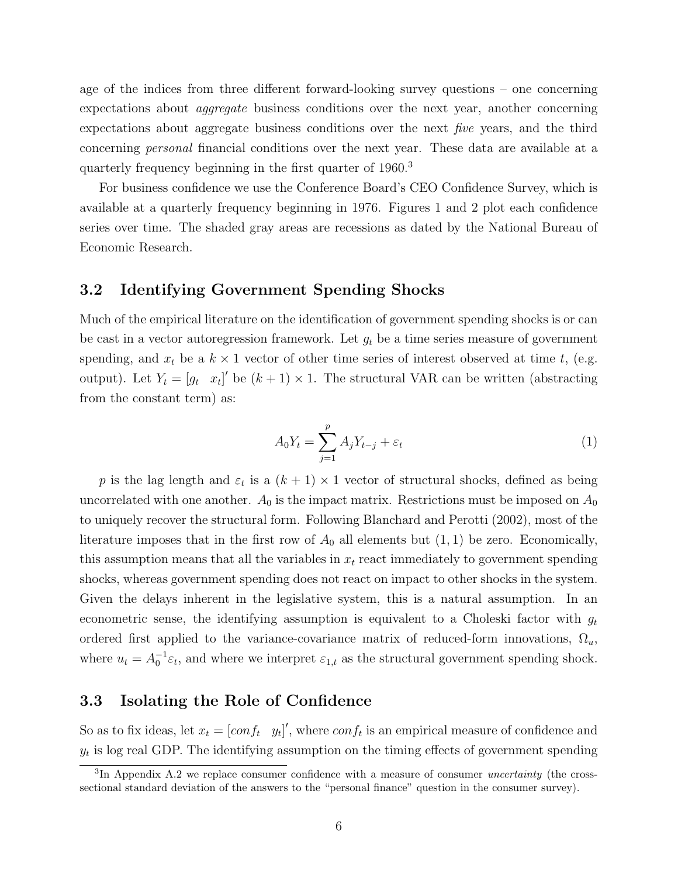age of the indices from three different forward-looking survey questions – one concerning expectations about aggregate business conditions over the next year, another concerning expectations about aggregate business conditions over the next five years, and the third concerning personal financial conditions over the next year. These data are available at a quarterly frequency beginning in the first quarter of 1960.<sup>3</sup>

For business confidence we use the Conference Board's CEO Confidence Survey, which is available at a quarterly frequency beginning in 1976. Figures 1 and 2 plot each confidence series over time. The shaded gray areas are recessions as dated by the National Bureau of Economic Research.

### 3.2 Identifying Government Spending Shocks

Much of the empirical literature on the identification of government spending shocks is or can be cast in a vector autoregression framework. Let  $g_t$  be a time series measure of government spending, and  $x_t$  be a  $k \times 1$  vector of other time series of interest observed at time t, (e.g. output). Let  $Y_t = [g_t \ x_t]'$  be  $(k+1) \times 1$ . The structural VAR can be written (abstracting from the constant term) as:

$$
A_0 Y_t = \sum_{j=1}^p A_j Y_{t-j} + \varepsilon_t \tag{1}
$$

p is the lag length and  $\varepsilon_t$  is a  $(k+1) \times 1$  vector of structural shocks, defined as being uncorrelated with one another.  $A_0$  is the impact matrix. Restrictions must be imposed on  $A_0$ to uniquely recover the structural form. Following Blanchard and Perotti (2002), most of the literature imposes that in the first row of  $A_0$  all elements but  $(1, 1)$  be zero. Economically, this assumption means that all the variables in  $x_t$  react immediately to government spending shocks, whereas government spending does not react on impact to other shocks in the system. Given the delays inherent in the legislative system, this is a natural assumption. In an econometric sense, the identifying assumption is equivalent to a Choleski factor with  $g_t$ ordered first applied to the variance-covariance matrix of reduced-form innovations,  $\Omega_u$ , where  $u_t = A_0^{-1} \varepsilon_t$ , and where we interpret  $\varepsilon_{1,t}$  as the structural government spending shock.

### 3.3 Isolating the Role of Confidence

So as to fix ideas, let  $x_t = [conf_t \ y_t]'$ , where  $conf_t$  is an empirical measure of confidence and  $y_t$  is log real GDP. The identifying assumption on the timing effects of government spending

 ${}^{3}$ In Appendix A.2 we replace consumer confidence with a measure of consumer *uncertainty* (the crosssectional standard deviation of the answers to the "personal finance" question in the consumer survey).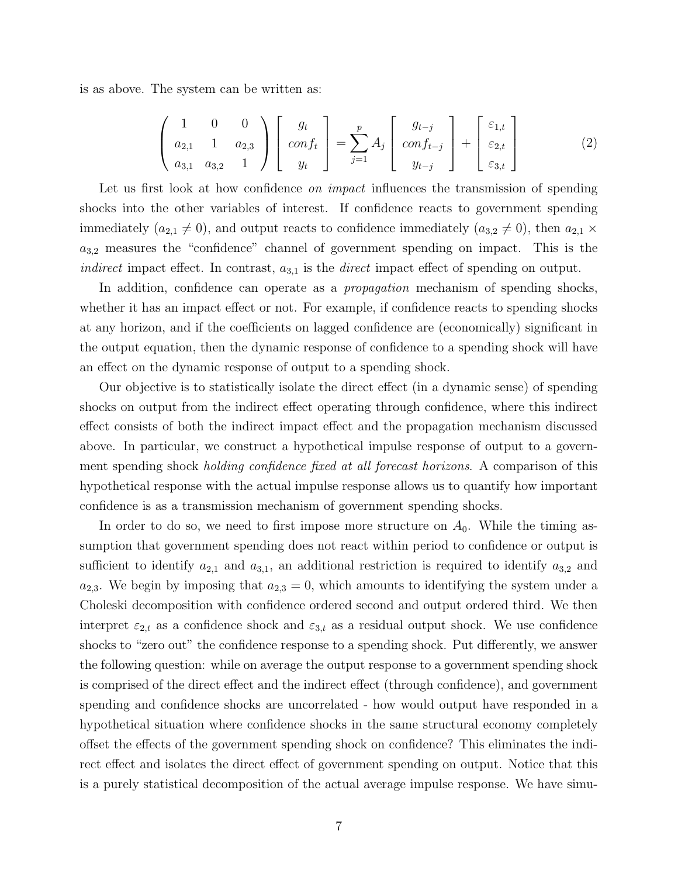is as above. The system can be written as:

$$
\begin{pmatrix} 1 & 0 & 0 \ a_{2,1} & 1 & a_{2,3} \ a_{3,1} & a_{3,2} & 1 \end{pmatrix} \begin{bmatrix} g_t \\ conf_t \\ y_t \end{bmatrix} = \sum_{j=1}^p A_j \begin{bmatrix} g_{t-j} \\ conf_{t-j} \\ y_{t-j} \end{bmatrix} + \begin{bmatrix} \varepsilon_{1,t} \\ \varepsilon_{2,t} \\ \varepsilon_{3,t} \end{bmatrix}
$$
(2)

Let us first look at how confidence *on impact* influences the transmission of spending shocks into the other variables of interest. If confidence reacts to government spending immediately  $(a_{2,1} \neq 0)$ , and output reacts to confidence immediately  $(a_{3,2} \neq 0)$ , then  $a_{2,1} \times$  $a_{3,2}$  measures the "confidence" channel of government spending on impact. This is the *indirect* impact effect. In contrast,  $a_{3,1}$  is the *direct* impact effect of spending on output.

In addition, confidence can operate as a *propagation* mechanism of spending shocks, whether it has an impact effect or not. For example, if confidence reacts to spending shocks at any horizon, and if the coefficients on lagged confidence are (economically) significant in the output equation, then the dynamic response of confidence to a spending shock will have an effect on the dynamic response of output to a spending shock.

Our objective is to statistically isolate the direct effect (in a dynamic sense) of spending shocks on output from the indirect effect operating through confidence, where this indirect effect consists of both the indirect impact effect and the propagation mechanism discussed above. In particular, we construct a hypothetical impulse response of output to a government spending shock holding confidence fixed at all forecast horizons. A comparison of this hypothetical response with the actual impulse response allows us to quantify how important confidence is as a transmission mechanism of government spending shocks.

In order to do so, we need to first impose more structure on  $A_0$ . While the timing assumption that government spending does not react within period to confidence or output is sufficient to identify  $a_{2,1}$  and  $a_{3,1}$ , an additional restriction is required to identify  $a_{3,2}$  and  $a_{2,3}$ . We begin by imposing that  $a_{2,3} = 0$ , which amounts to identifying the system under a Choleski decomposition with confidence ordered second and output ordered third. We then interpret  $\varepsilon_{2,t}$  as a confidence shock and  $\varepsilon_{3,t}$  as a residual output shock. We use confidence shocks to "zero out" the confidence response to a spending shock. Put differently, we answer the following question: while on average the output response to a government spending shock is comprised of the direct effect and the indirect effect (through confidence), and government spending and confidence shocks are uncorrelated - how would output have responded in a hypothetical situation where confidence shocks in the same structural economy completely offset the effects of the government spending shock on confidence? This eliminates the indirect effect and isolates the direct effect of government spending on output. Notice that this is a purely statistical decomposition of the actual average impulse response. We have simu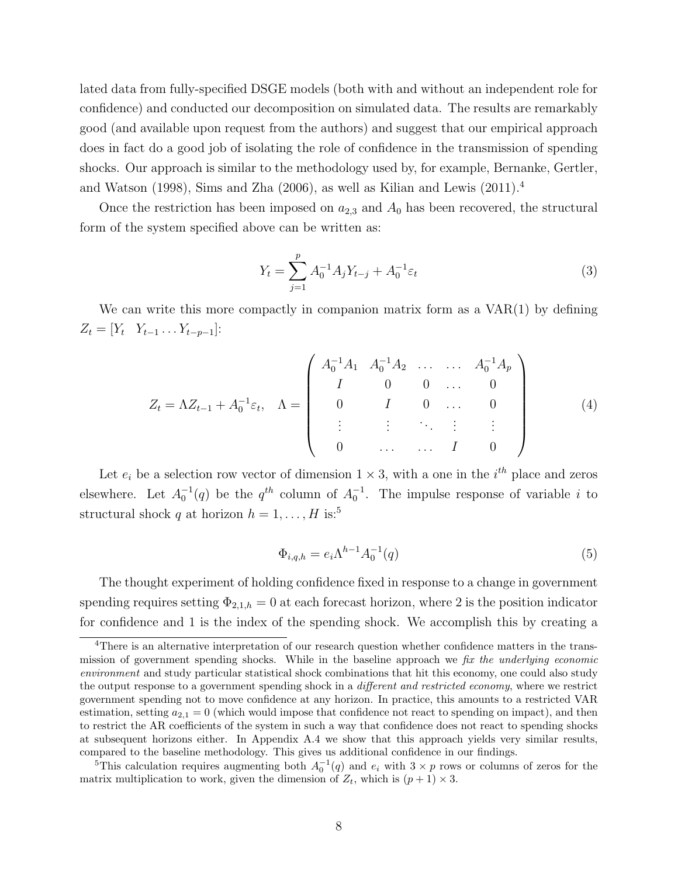lated data from fully-specified DSGE models (both with and without an independent role for confidence) and conducted our decomposition on simulated data. The results are remarkably good (and available upon request from the authors) and suggest that our empirical approach does in fact do a good job of isolating the role of confidence in the transmission of spending shocks. Our approach is similar to the methodology used by, for example, Bernanke, Gertler, and Watson (1998), Sims and Zha (2006), as well as Kilian and Lewis (2011).<sup>4</sup>

Once the restriction has been imposed on  $a_{2,3}$  and  $A_0$  has been recovered, the structural form of the system specified above can be written as:

$$
Y_t = \sum_{j=1}^p A_0^{-1} A_j Y_{t-j} + A_0^{-1} \varepsilon_t \tag{3}
$$

We can write this more compactly in companion matrix form as a  $VAR(1)$  by defining  $Z_t = [Y_t \ Y_{t-1} \dots Y_{t-p-1}]$ :

$$
Z_{t} = \Lambda Z_{t-1} + A_{0}^{-1} \varepsilon_{t}, \quad \Lambda = \begin{pmatrix} A_{0}^{-1} A_{1} & A_{0}^{-1} A_{2} & \dots & \dots & A_{0}^{-1} A_{p} \\ I & 0 & 0 & \dots & 0 \\ 0 & I & 0 & \dots & 0 \\ \vdots & \vdots & \vdots & \ddots & \vdots & \vdots \\ 0 & \dots & \dots & I & 0 \end{pmatrix}
$$
(4)

Let  $e_i$  be a selection row vector of dimension  $1 \times 3$ , with a one in the  $i^{th}$  place and zeros elsewhere. Let  $A_0^{-1}(q)$  be the  $q^{th}$  column of  $A_0^{-1}$ . The impulse response of variable i to structural shock q at horizon  $h = 1, ..., H$  is:<sup>5</sup>

$$
\Phi_{i,q,h} = e_i \Lambda^{h-1} A_0^{-1}(q)
$$
\n(5)

The thought experiment of holding confidence fixed in response to a change in government spending requires setting  $\Phi_{2,1,h} = 0$  at each forecast horizon, where 2 is the position indicator for confidence and 1 is the index of the spending shock. We accomplish this by creating a

<sup>&</sup>lt;sup>4</sup>There is an alternative interpretation of our research question whether confidence matters in the transmission of government spending shocks. While in the baseline approach we fix the underlying economic environment and study particular statistical shock combinations that hit this economy, one could also study the output response to a government spending shock in a *different and restricted economy*, where we restrict government spending not to move confidence at any horizon. In practice, this amounts to a restricted VAR estimation, setting  $a_{2,1} = 0$  (which would impose that confidence not react to spending on impact), and then to restrict the AR coefficients of the system in such a way that confidence does not react to spending shocks at subsequent horizons either. In Appendix A.4 we show that this approach yields very similar results, compared to the baseline methodology. This gives us additional confidence in our findings.

<sup>&</sup>lt;sup>5</sup>This calculation requires augmenting both  $A_0^{-1}(q)$  and  $e_i$  with  $3 \times p$  rows or columns of zeros for the matrix multiplication to work, given the dimension of  $Z_t$ , which is  $(p+1) \times 3$ .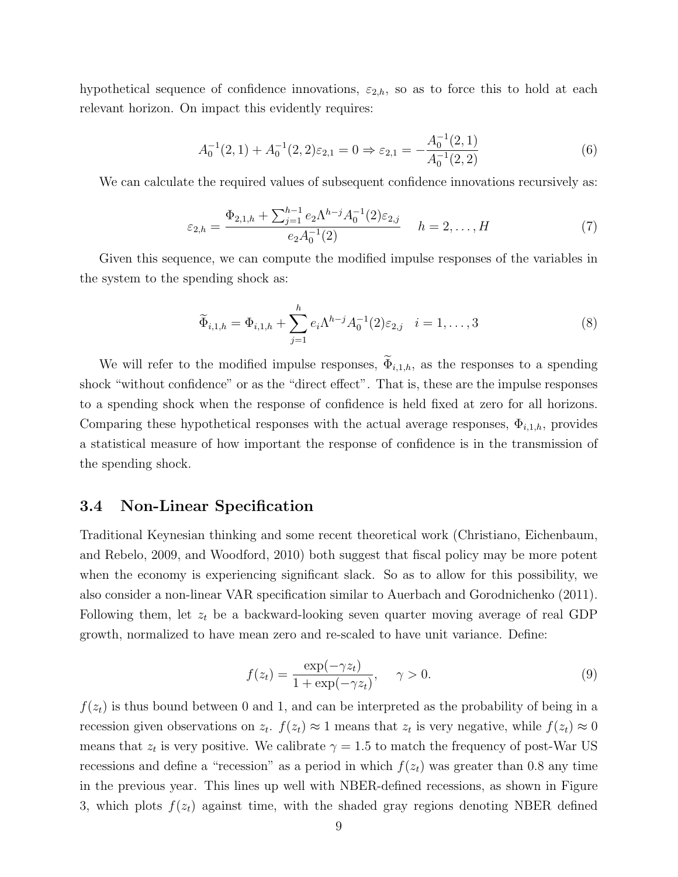hypothetical sequence of confidence innovations,  $\varepsilon_{2,h}$ , so as to force this to hold at each relevant horizon. On impact this evidently requires:

$$
A_0^{-1}(2,1) + A_0^{-1}(2,2)\varepsilon_{2,1} = 0 \Rightarrow \varepsilon_{2,1} = -\frac{A_0^{-1}(2,1)}{A_0^{-1}(2,2)}
$$
(6)

We can calculate the required values of subsequent confidence innovations recursively as:

$$
\varepsilon_{2,h} = \frac{\Phi_{2,1,h} + \sum_{j=1}^{h-1} e_2 \Lambda^{h-j} A_0^{-1}(2) \varepsilon_{2,j}}{e_2 A_0^{-1}(2)} \quad h = 2, \dots, H \tag{7}
$$

Given this sequence, we can compute the modified impulse responses of the variables in the system to the spending shock as:

$$
\widetilde{\Phi}_{i,1,h} = \Phi_{i,1,h} + \sum_{j=1}^{h} e_i \Lambda^{h-j} A_0^{-1}(2) \varepsilon_{2,j} \quad i = 1, \dots, 3
$$
\n(8)

We will refer to the modified impulse responses,  $\widetilde{\Phi}_{i,1,h}$ , as the responses to a spending shock "without confidence" or as the "direct effect". That is, these are the impulse responses to a spending shock when the response of confidence is held fixed at zero for all horizons. Comparing these hypothetical responses with the actual average responses,  $\Phi_{i,1,h}$ , provides a statistical measure of how important the response of confidence is in the transmission of the spending shock.

#### 3.4 Non-Linear Specification

Traditional Keynesian thinking and some recent theoretical work (Christiano, Eichenbaum, and Rebelo, 2009, and Woodford, 2010) both suggest that fiscal policy may be more potent when the economy is experiencing significant slack. So as to allow for this possibility, we also consider a non-linear VAR specification similar to Auerbach and Gorodnichenko (2011). Following them, let  $z_t$  be a backward-looking seven quarter moving average of real GDP growth, normalized to have mean zero and re-scaled to have unit variance. Define:

$$
f(z_t) = \frac{\exp(-\gamma z_t)}{1 + \exp(-\gamma z_t)}, \quad \gamma > 0.
$$
\n(9)

 $f(z_t)$  is thus bound between 0 and 1, and can be interpreted as the probability of being in a recession given observations on  $z_t$ .  $f(z_t) \approx 1$  means that  $z_t$  is very negative, while  $f(z_t) \approx 0$ means that  $z_t$  is very positive. We calibrate  $\gamma = 1.5$  to match the frequency of post-War US recessions and define a "recession" as a period in which  $f(z_t)$  was greater than 0.8 any time in the previous year. This lines up well with NBER-defined recessions, as shown in Figure 3, which plots  $f(z_t)$  against time, with the shaded gray regions denoting NBER defined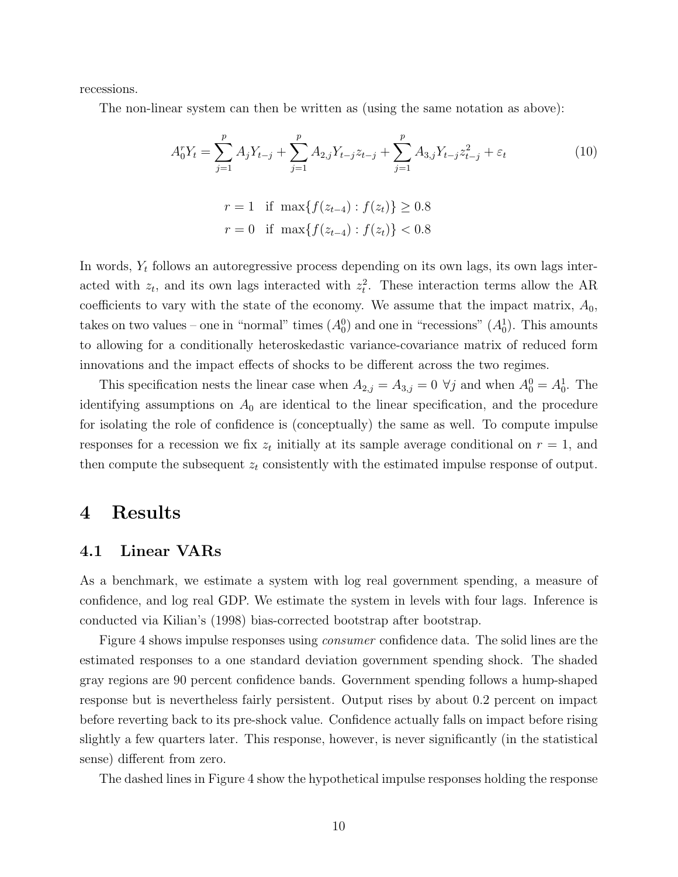recessions.

The non-linear system can then be written as (using the same notation as above):

$$
A_0^r Y_t = \sum_{j=1}^p A_j Y_{t-j} + \sum_{j=1}^p A_{2,j} Y_{t-j} z_{t-j} + \sum_{j=1}^p A_{3,j} Y_{t-j} z_{t-j}^2 + \varepsilon_t
$$
  
\n
$$
r = 1 \quad \text{if } \max\{f(z_{t-4}) : f(z_t)\} \ge 0.8
$$
  
\n
$$
r = 0 \quad \text{if } \max\{f(z_{t-4}) : f(z_t)\} < 0.8
$$

In words,  $Y_t$  follows an autoregressive process depending on its own lags, its own lags interacted with  $z_t$ , and its own lags interacted with  $z_t^2$ . These interaction terms allow the AR coefficients to vary with the state of the economy. We assume that the impact matrix,  $A_0$ , takes on two values – one in "normal" times  $(A_0^0)$  and one in "recessions"  $(A_0^1)$ . This amounts to allowing for a conditionally heteroskedastic variance-covariance matrix of reduced form innovations and the impact effects of shocks to be different across the two regimes.

This specification nests the linear case when  $A_{2,j} = A_{3,j} = 0 \ \forall j$  and when  $A_0^0 = A_0^1$ . The identifying assumptions on  $A_0$  are identical to the linear specification, and the procedure for isolating the role of confidence is (conceptually) the same as well. To compute impulse responses for a recession we fix  $z_t$  initially at its sample average conditional on  $r = 1$ , and then compute the subsequent  $z_t$  consistently with the estimated impulse response of output.

## 4 Results

#### 4.1 Linear VARs

As a benchmark, we estimate a system with log real government spending, a measure of confidence, and log real GDP. We estimate the system in levels with four lags. Inference is conducted via Kilian's (1998) bias-corrected bootstrap after bootstrap.

Figure 4 shows impulse responses using *consumer* confidence data. The solid lines are the estimated responses to a one standard deviation government spending shock. The shaded gray regions are 90 percent confidence bands. Government spending follows a hump-shaped response but is nevertheless fairly persistent. Output rises by about 0.2 percent on impact before reverting back to its pre-shock value. Confidence actually falls on impact before rising slightly a few quarters later. This response, however, is never significantly (in the statistical sense) different from zero.

The dashed lines in Figure 4 show the hypothetical impulse responses holding the response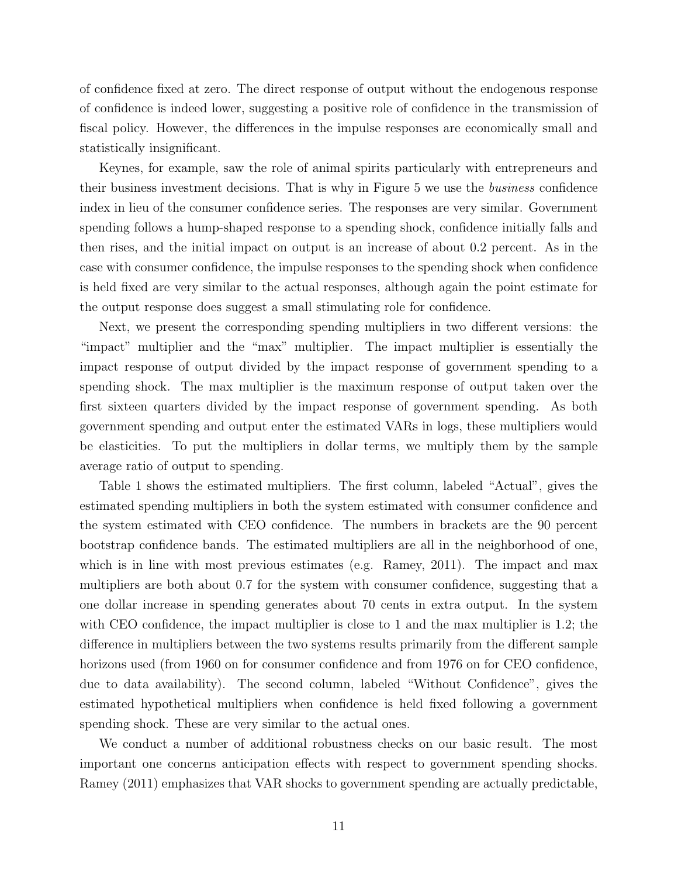of confidence fixed at zero. The direct response of output without the endogenous response of confidence is indeed lower, suggesting a positive role of confidence in the transmission of fiscal policy. However, the differences in the impulse responses are economically small and statistically insignificant.

Keynes, for example, saw the role of animal spirits particularly with entrepreneurs and their business investment decisions. That is why in Figure 5 we use the business confidence index in lieu of the consumer confidence series. The responses are very similar. Government spending follows a hump-shaped response to a spending shock, confidence initially falls and then rises, and the initial impact on output is an increase of about 0.2 percent. As in the case with consumer confidence, the impulse responses to the spending shock when confidence is held fixed are very similar to the actual responses, although again the point estimate for the output response does suggest a small stimulating role for confidence.

Next, we present the corresponding spending multipliers in two different versions: the "impact" multiplier and the "max" multiplier. The impact multiplier is essentially the impact response of output divided by the impact response of government spending to a spending shock. The max multiplier is the maximum response of output taken over the first sixteen quarters divided by the impact response of government spending. As both government spending and output enter the estimated VARs in logs, these multipliers would be elasticities. To put the multipliers in dollar terms, we multiply them by the sample average ratio of output to spending.

Table 1 shows the estimated multipliers. The first column, labeled "Actual", gives the estimated spending multipliers in both the system estimated with consumer confidence and the system estimated with CEO confidence. The numbers in brackets are the 90 percent bootstrap confidence bands. The estimated multipliers are all in the neighborhood of one, which is in line with most previous estimates (e.g. Ramey, 2011). The impact and max multipliers are both about 0.7 for the system with consumer confidence, suggesting that a one dollar increase in spending generates about 70 cents in extra output. In the system with CEO confidence, the impact multiplier is close to 1 and the max multiplier is 1.2; the difference in multipliers between the two systems results primarily from the different sample horizons used (from 1960 on for consumer confidence and from 1976 on for CEO confidence, due to data availability). The second column, labeled "Without Confidence", gives the estimated hypothetical multipliers when confidence is held fixed following a government spending shock. These are very similar to the actual ones.

We conduct a number of additional robustness checks on our basic result. The most important one concerns anticipation effects with respect to government spending shocks. Ramey (2011) emphasizes that VAR shocks to government spending are actually predictable,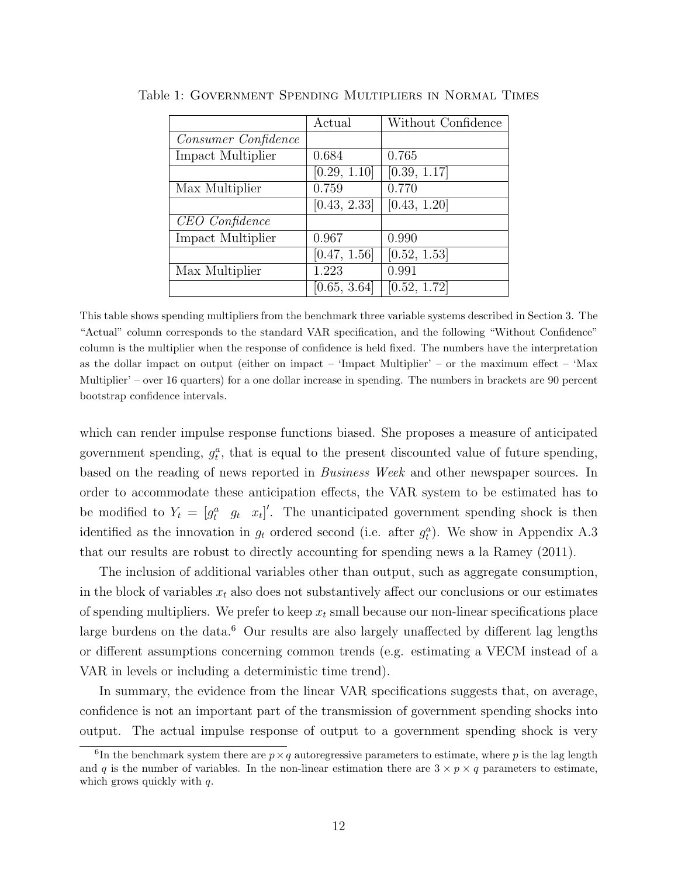|                     | Actual       | Without Confidence |
|---------------------|--------------|--------------------|
| Consumer Confidence |              |                    |
| Impact Multiplier   | 0.684        | 0.765              |
|                     | [0.29, 1.10] | [0.39, 1.17]       |
| Max Multiplier      | 0.759        | 0.770              |
|                     | [0.43, 2.33] | [0.43, 1.20]       |
| CEO Confidence      |              |                    |
| Impact Multiplier   | 0.967        | 0.990              |
|                     | [0.47, 1.56] | [0.52, 1.53]       |
| Max Multiplier      | 1.223        | 0.991              |
|                     | [0.65, 3.64] | [0.52, 1.72]       |

Table 1: Government Spending Multipliers in Normal Times

This table shows spending multipliers from the benchmark three variable systems described in Section 3. The "Actual" column corresponds to the standard VAR specification, and the following "Without Confidence" column is the multiplier when the response of confidence is held fixed. The numbers have the interpretation as the dollar impact on output (either on impact – 'Impact Multiplier' – or the maximum effect – 'Max Multiplier' – over 16 quarters) for a one dollar increase in spending. The numbers in brackets are 90 percent bootstrap confidence intervals.

which can render impulse response functions biased. She proposes a measure of anticipated government spending,  $g_t^a$ , that is equal to the present discounted value of future spending, based on the reading of news reported in Business Week and other newspaper sources. In order to accommodate these anticipation effects, the VAR system to be estimated has to be modified to  $Y_t = [g_t^a \ g_t \ x_t]'$ . The unanticipated government spending shock is then identified as the innovation in  $g_t$  ordered second (i.e. after  $g_t^a$ ). We show in Appendix A.3 that our results are robust to directly accounting for spending news a la Ramey (2011).

The inclusion of additional variables other than output, such as aggregate consumption, in the block of variables  $x_t$  also does not substantively affect our conclusions or our estimates of spending multipliers. We prefer to keep  $x_t$  small because our non-linear specifications place large burdens on the data.<sup>6</sup> Our results are also largely unaffected by different lag lengths or different assumptions concerning common trends (e.g. estimating a VECM instead of a VAR in levels or including a deterministic time trend).

In summary, the evidence from the linear VAR specifications suggests that, on average, confidence is not an important part of the transmission of government spending shocks into output. The actual impulse response of output to a government spending shock is very

<sup>&</sup>lt;sup>6</sup>In the benchmark system there are  $p \times q$  autoregressive parameters to estimate, where p is the lag length and q is the number of variables. In the non-linear estimation there are  $3 \times p \times q$  parameters to estimate, which grows quickly with q.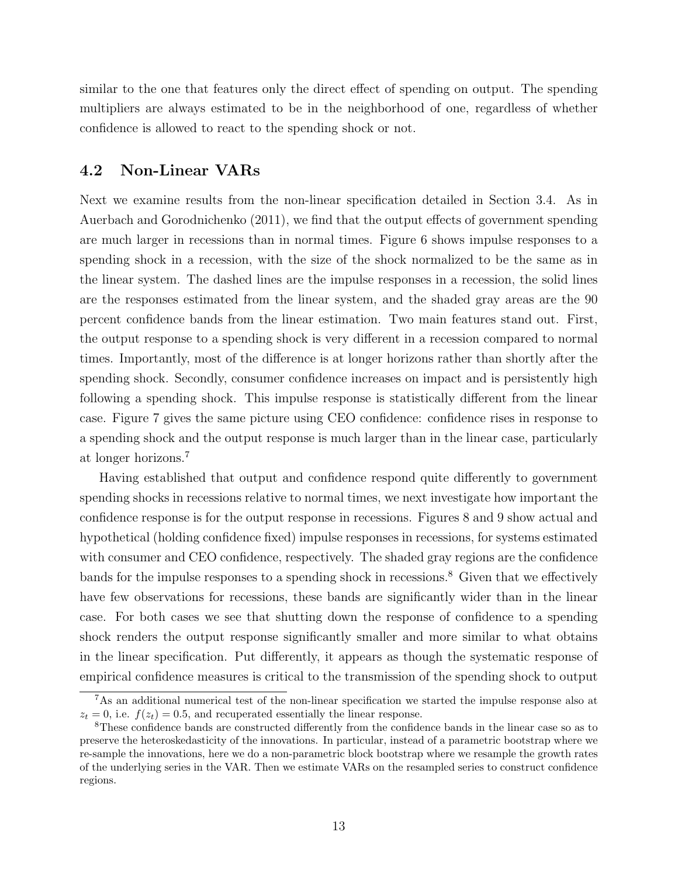similar to the one that features only the direct effect of spending on output. The spending multipliers are always estimated to be in the neighborhood of one, regardless of whether confidence is allowed to react to the spending shock or not.

### 4.2 Non-Linear VARs

Next we examine results from the non-linear specification detailed in Section 3.4. As in Auerbach and Gorodnichenko (2011), we find that the output effects of government spending are much larger in recessions than in normal times. Figure 6 shows impulse responses to a spending shock in a recession, with the size of the shock normalized to be the same as in the linear system. The dashed lines are the impulse responses in a recession, the solid lines are the responses estimated from the linear system, and the shaded gray areas are the 90 percent confidence bands from the linear estimation. Two main features stand out. First, the output response to a spending shock is very different in a recession compared to normal times. Importantly, most of the difference is at longer horizons rather than shortly after the spending shock. Secondly, consumer confidence increases on impact and is persistently high following a spending shock. This impulse response is statistically different from the linear case. Figure 7 gives the same picture using CEO confidence: confidence rises in response to a spending shock and the output response is much larger than in the linear case, particularly at longer horizons.<sup>7</sup>

Having established that output and confidence respond quite differently to government spending shocks in recessions relative to normal times, we next investigate how important the confidence response is for the output response in recessions. Figures 8 and 9 show actual and hypothetical (holding confidence fixed) impulse responses in recessions, for systems estimated with consumer and CEO confidence, respectively. The shaded gray regions are the confidence bands for the impulse responses to a spending shock in recessions.<sup>8</sup> Given that we effectively have few observations for recessions, these bands are significantly wider than in the linear case. For both cases we see that shutting down the response of confidence to a spending shock renders the output response significantly smaller and more similar to what obtains in the linear specification. Put differently, it appears as though the systematic response of empirical confidence measures is critical to the transmission of the spending shock to output

<sup>7</sup>As an additional numerical test of the non-linear specification we started the impulse response also at  $z_t = 0$ , i.e.  $f(z_t) = 0.5$ , and recuperated essentially the linear response.

<sup>8</sup>These confidence bands are constructed differently from the confidence bands in the linear case so as to preserve the heteroskedasticity of the innovations. In particular, instead of a parametric bootstrap where we re-sample the innovations, here we do a non-parametric block bootstrap where we resample the growth rates of the underlying series in the VAR. Then we estimate VARs on the resampled series to construct confidence regions.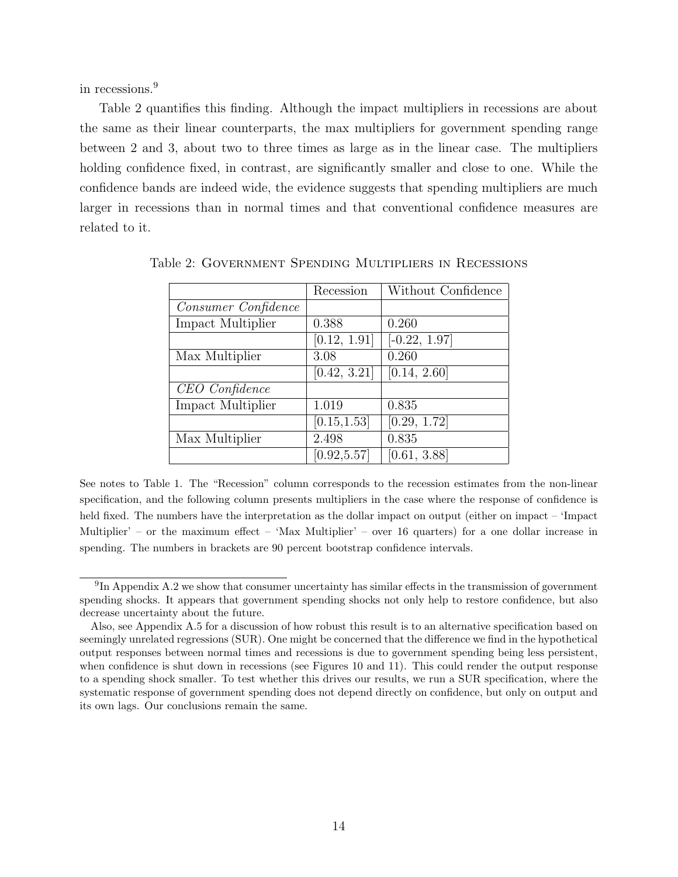in recessions.<sup>9</sup>

Table 2 quantifies this finding. Although the impact multipliers in recessions are about the same as their linear counterparts, the max multipliers for government spending range between 2 and 3, about two to three times as large as in the linear case. The multipliers holding confidence fixed, in contrast, are significantly smaller and close to one. While the confidence bands are indeed wide, the evidence suggests that spending multipliers are much larger in recessions than in normal times and that conventional confidence measures are related to it.

|                     | Recession    | Without Confidence         |
|---------------------|--------------|----------------------------|
| Consumer Confidence |              |                            |
| Impact Multiplier   | 0.388        | 0.260                      |
|                     | [0.12, 1.91] | $\overline{[-0.22, 1.97]}$ |
| Max Multiplier      | 3.08         | 0.260                      |
|                     | [0.42, 3.21] | [0.14, 2.60]               |
| CEO Confidence      |              |                            |
| Impact Multiplier   | 1.019        | 0.835                      |
|                     | [0.15, 1.53] | [0.29, 1.72]               |
| Max Multiplier      | 2.498        | 0.835                      |
|                     | [0.92, 5.57] | [0.61, 3.88]               |

Table 2: Government Spending Multipliers in Recessions

See notes to Table 1. The "Recession" column corresponds to the recession estimates from the non-linear specification, and the following column presents multipliers in the case where the response of confidence is held fixed. The numbers have the interpretation as the dollar impact on output (either on impact – 'Impact Multiplier' – or the maximum effect – 'Max Multiplier' – over 16 quarters) for a one dollar increase in spending. The numbers in brackets are 90 percent bootstrap confidence intervals.

<sup>&</sup>lt;sup>9</sup>In Appendix A.2 we show that consumer uncertainty has similar effects in the transmission of government spending shocks. It appears that government spending shocks not only help to restore confidence, but also decrease uncertainty about the future.

Also, see Appendix A.5 for a discussion of how robust this result is to an alternative specification based on seemingly unrelated regressions (SUR). One might be concerned that the difference we find in the hypothetical output responses between normal times and recessions is due to government spending being less persistent, when confidence is shut down in recessions (see Figures 10 and 11). This could render the output response to a spending shock smaller. To test whether this drives our results, we run a SUR specification, where the systematic response of government spending does not depend directly on confidence, but only on output and its own lags. Our conclusions remain the same.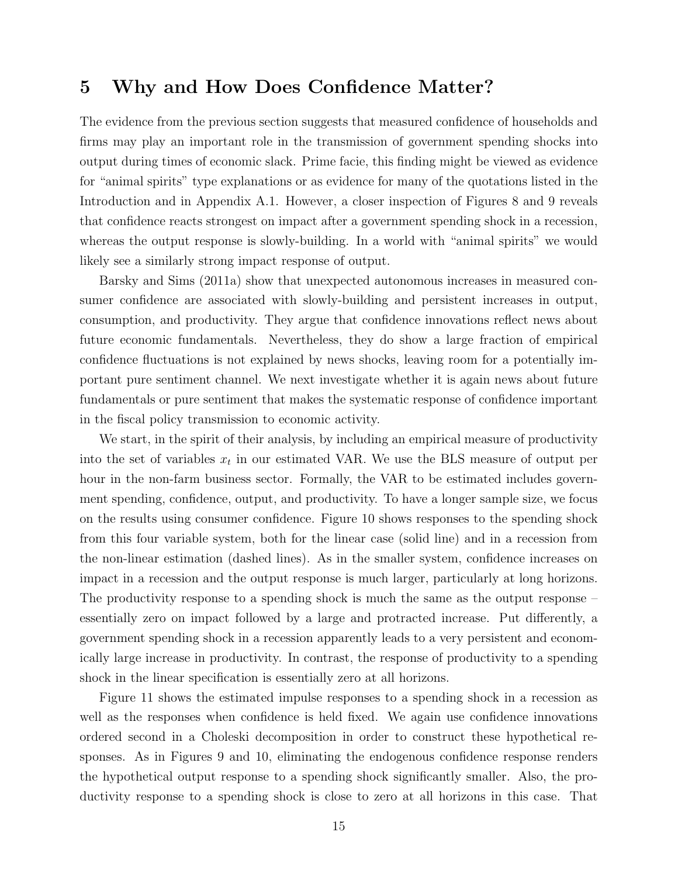## 5 Why and How Does Confidence Matter?

The evidence from the previous section suggests that measured confidence of households and firms may play an important role in the transmission of government spending shocks into output during times of economic slack. Prime facie, this finding might be viewed as evidence for "animal spirits" type explanations or as evidence for many of the quotations listed in the Introduction and in Appendix A.1. However, a closer inspection of Figures 8 and 9 reveals that confidence reacts strongest on impact after a government spending shock in a recession, whereas the output response is slowly-building. In a world with "animal spirits" we would likely see a similarly strong impact response of output.

Barsky and Sims (2011a) show that unexpected autonomous increases in measured consumer confidence are associated with slowly-building and persistent increases in output, consumption, and productivity. They argue that confidence innovations reflect news about future economic fundamentals. Nevertheless, they do show a large fraction of empirical confidence fluctuations is not explained by news shocks, leaving room for a potentially important pure sentiment channel. We next investigate whether it is again news about future fundamentals or pure sentiment that makes the systematic response of confidence important in the fiscal policy transmission to economic activity.

We start, in the spirit of their analysis, by including an empirical measure of productivity into the set of variables  $x_t$  in our estimated VAR. We use the BLS measure of output per hour in the non-farm business sector. Formally, the VAR to be estimated includes government spending, confidence, output, and productivity. To have a longer sample size, we focus on the results using consumer confidence. Figure 10 shows responses to the spending shock from this four variable system, both for the linear case (solid line) and in a recession from the non-linear estimation (dashed lines). As in the smaller system, confidence increases on impact in a recession and the output response is much larger, particularly at long horizons. The productivity response to a spending shock is much the same as the output response – essentially zero on impact followed by a large and protracted increase. Put differently, a government spending shock in a recession apparently leads to a very persistent and economically large increase in productivity. In contrast, the response of productivity to a spending shock in the linear specification is essentially zero at all horizons.

Figure 11 shows the estimated impulse responses to a spending shock in a recession as well as the responses when confidence is held fixed. We again use confidence innovations ordered second in a Choleski decomposition in order to construct these hypothetical responses. As in Figures 9 and 10, eliminating the endogenous confidence response renders the hypothetical output response to a spending shock significantly smaller. Also, the productivity response to a spending shock is close to zero at all horizons in this case. That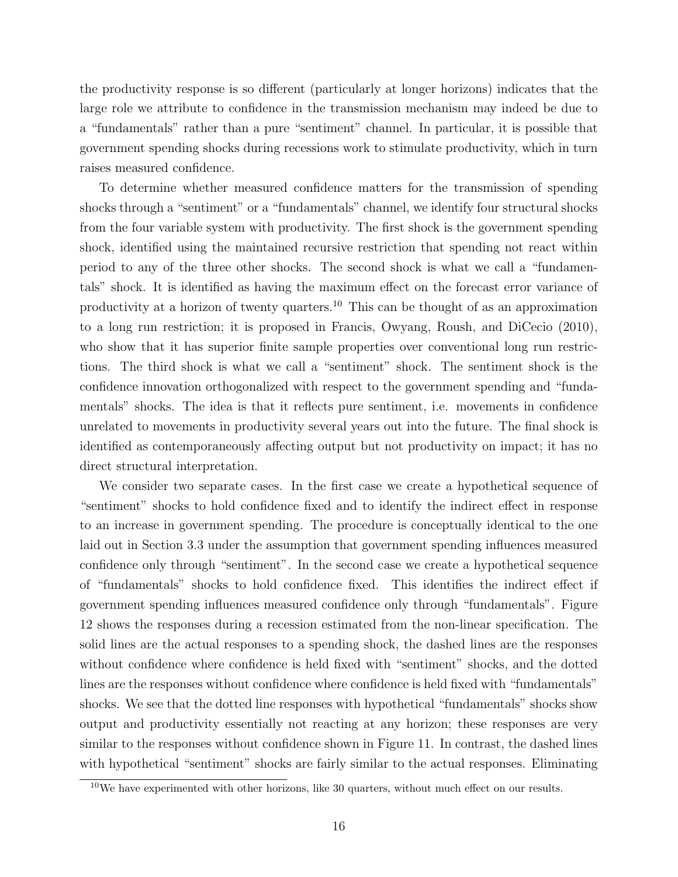the productivity response is so different (particularly at longer horizons) indicates that the large role we attribute to confidence in the transmission mechanism may indeed be due to a "fundamentals" rather than a pure "sentiment" channel. In particular, it is possible that government spending shocks during recessions work to stimulate productivity, which in turn raises measured confidence.

To determine whether measured confidence matters for the transmission of spending shocks through a "sentiment" or a "fundamentals" channel, we identify four structural shocks from the four variable system with productivity. The first shock is the government spending shock, identified using the maintained recursive restriction that spending not react within period to any of the three other shocks. The second shock is what we call a "fundamentals" shock. It is identified as having the maximum effect on the forecast error variance of productivity at a horizon of twenty quarters.<sup>10</sup> This can be thought of as an approximation to a long run restriction; it is proposed in Francis, Owyang, Roush, and DiCecio (2010), who show that it has superior finite sample properties over conventional long run restrictions. The third shock is what we call a "sentiment" shock. The sentiment shock is the confidence innovation orthogonalized with respect to the government spending and "fundamentals" shocks. The idea is that it reflects pure sentiment, i.e. movements in confidence unrelated to movements in productivity several years out into the future. The final shock is identified as contemporaneously affecting output but not productivity on impact; it has no direct structural interpretation.

We consider two separate cases. In the first case we create a hypothetical sequence of "sentiment" shocks to hold confidence fixed and to identify the indirect effect in response to an increase in government spending. The procedure is conceptually identical to the one laid out in Section 3.3 under the assumption that government spending influences measured confidence only through "sentiment". In the second case we create a hypothetical sequence of "fundamentals" shocks to hold confidence fixed. This identifies the indirect effect if government spending influences measured confidence only through "fundamentals". Figure 12 shows the responses during a recession estimated from the non-linear specification. The solid lines are the actual responses to a spending shock, the dashed lines are the responses without confidence where confidence is held fixed with "sentiment" shocks, and the dotted lines are the responses without confidence where confidence is held fixed with "fundamentals" shocks. We see that the dotted line responses with hypothetical "fundamentals" shocks show output and productivity essentially not reacting at any horizon; these responses are very similar to the responses without confidence shown in Figure 11. In contrast, the dashed lines with hypothetical "sentiment" shocks are fairly similar to the actual responses. Eliminating

<sup>10</sup>We have experimented with other horizons, like 30 quarters, without much effect on our results.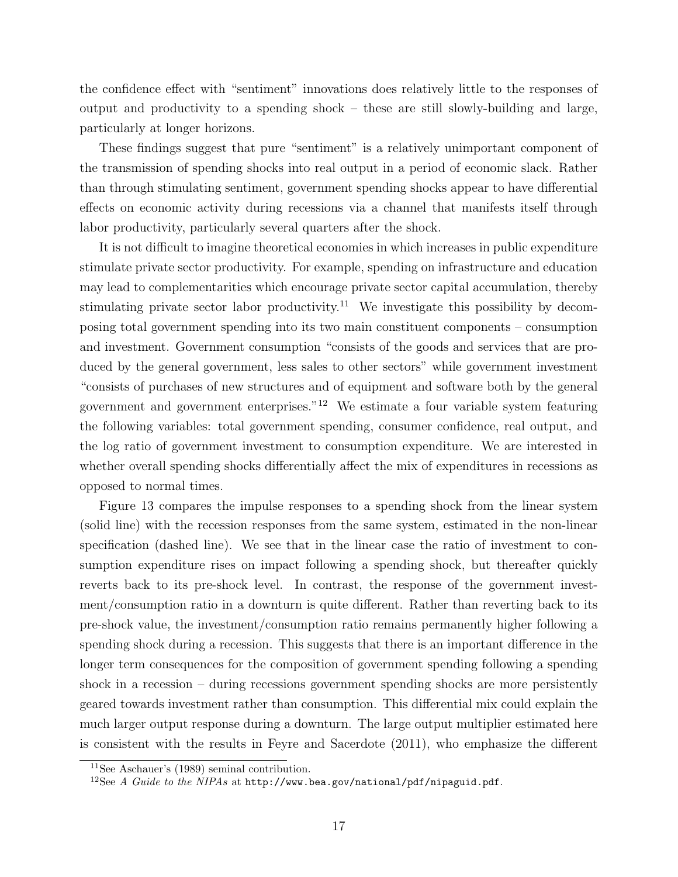the confidence effect with "sentiment" innovations does relatively little to the responses of output and productivity to a spending shock – these are still slowly-building and large, particularly at longer horizons.

These findings suggest that pure "sentiment" is a relatively unimportant component of the transmission of spending shocks into real output in a period of economic slack. Rather than through stimulating sentiment, government spending shocks appear to have differential effects on economic activity during recessions via a channel that manifests itself through labor productivity, particularly several quarters after the shock.

It is not difficult to imagine theoretical economies in which increases in public expenditure stimulate private sector productivity. For example, spending on infrastructure and education may lead to complementarities which encourage private sector capital accumulation, thereby stimulating private sector labor productivity.<sup>11</sup> We investigate this possibility by decomposing total government spending into its two main constituent components – consumption and investment. Government consumption "consists of the goods and services that are produced by the general government, less sales to other sectors" while government investment "consists of purchases of new structures and of equipment and software both by the general government and government enterprises."<sup>12</sup> We estimate a four variable system featuring the following variables: total government spending, consumer confidence, real output, and the log ratio of government investment to consumption expenditure. We are interested in whether overall spending shocks differentially affect the mix of expenditures in recessions as opposed to normal times.

Figure 13 compares the impulse responses to a spending shock from the linear system (solid line) with the recession responses from the same system, estimated in the non-linear specification (dashed line). We see that in the linear case the ratio of investment to consumption expenditure rises on impact following a spending shock, but thereafter quickly reverts back to its pre-shock level. In contrast, the response of the government investment/consumption ratio in a downturn is quite different. Rather than reverting back to its pre-shock value, the investment/consumption ratio remains permanently higher following a spending shock during a recession. This suggests that there is an important difference in the longer term consequences for the composition of government spending following a spending shock in a recession – during recessions government spending shocks are more persistently geared towards investment rather than consumption. This differential mix could explain the much larger output response during a downturn. The large output multiplier estimated here is consistent with the results in Feyre and Sacerdote (2011), who emphasize the different

<sup>11</sup>See Aschauer's (1989) seminal contribution.

 $12$ See A Guide to the NIPAs at http://www.bea.gov/national/pdf/nipaguid.pdf.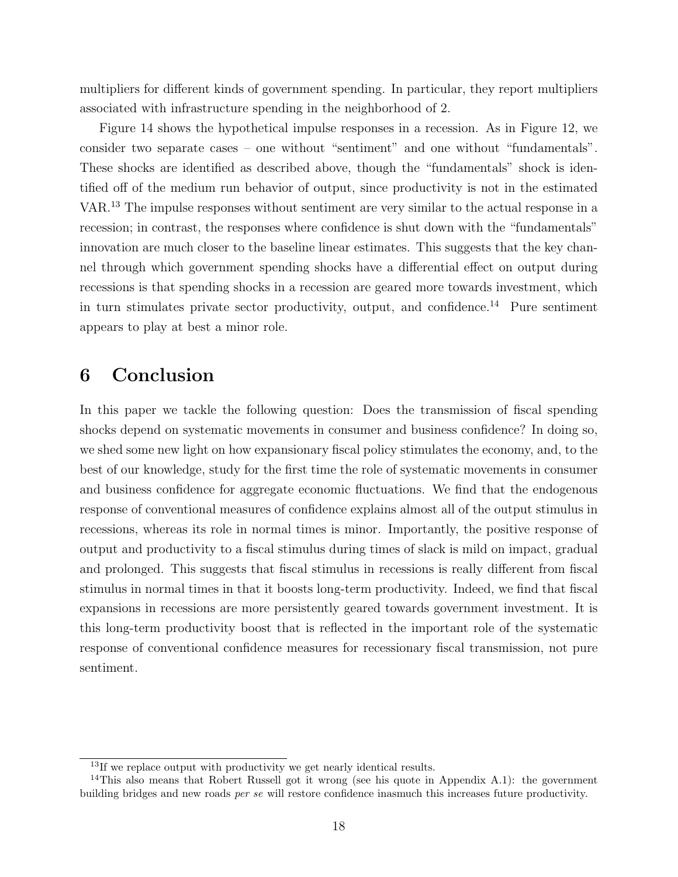multipliers for different kinds of government spending. In particular, they report multipliers associated with infrastructure spending in the neighborhood of 2.

Figure 14 shows the hypothetical impulse responses in a recession. As in Figure 12, we consider two separate cases – one without "sentiment" and one without "fundamentals". These shocks are identified as described above, though the "fundamentals" shock is identified off of the medium run behavior of output, since productivity is not in the estimated VAR.<sup>13</sup> The impulse responses without sentiment are very similar to the actual response in a recession; in contrast, the responses where confidence is shut down with the "fundamentals" innovation are much closer to the baseline linear estimates. This suggests that the key channel through which government spending shocks have a differential effect on output during recessions is that spending shocks in a recession are geared more towards investment, which in turn stimulates private sector productivity, output, and confidence.<sup>14</sup> Pure sentiment appears to play at best a minor role.

## 6 Conclusion

In this paper we tackle the following question: Does the transmission of fiscal spending shocks depend on systematic movements in consumer and business confidence? In doing so, we shed some new light on how expansionary fiscal policy stimulates the economy, and, to the best of our knowledge, study for the first time the role of systematic movements in consumer and business confidence for aggregate economic fluctuations. We find that the endogenous response of conventional measures of confidence explains almost all of the output stimulus in recessions, whereas its role in normal times is minor. Importantly, the positive response of output and productivity to a fiscal stimulus during times of slack is mild on impact, gradual and prolonged. This suggests that fiscal stimulus in recessions is really different from fiscal stimulus in normal times in that it boosts long-term productivity. Indeed, we find that fiscal expansions in recessions are more persistently geared towards government investment. It is this long-term productivity boost that is reflected in the important role of the systematic response of conventional confidence measures for recessionary fiscal transmission, not pure sentiment.

 $\frac{13}{13}$  we replace output with productivity we get nearly identical results.

<sup>&</sup>lt;sup>14</sup>This also means that Robert Russell got it wrong (see his quote in Appendix A.1): the government building bridges and new roads per se will restore confidence inasmuch this increases future productivity.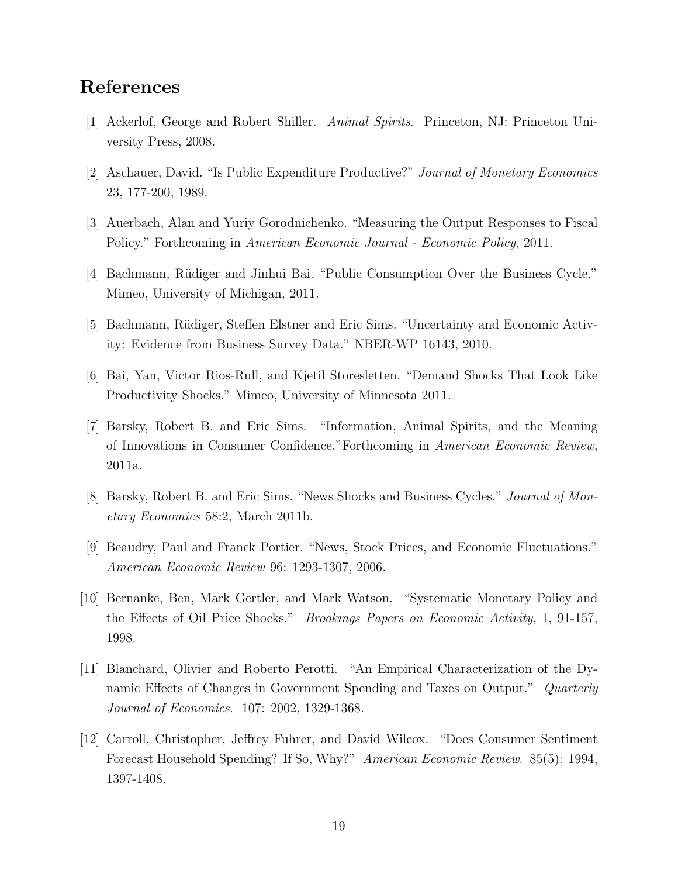## References

- [1] Ackerlof, George and Robert Shiller. Animal Spirits. Princeton, NJ: Princeton University Press, 2008.
- [2] Aschauer, David. "Is Public Expenditure Productive?" Journal of Monetary Economics 23, 177-200, 1989.
- [3] Auerbach, Alan and Yuriy Gorodnichenko. "Measuring the Output Responses to Fiscal Policy." Forthcoming in American Economic Journal - Economic Policy, 2011.
- [4] Bachmann, Rüdiger and Jinhui Bai. "Public Consumption Over the Business Cycle." Mimeo, University of Michigan, 2011.
- [5] Bachmann, Rüdiger, Steffen Elstner and Eric Sims. "Uncertainty and Economic Activity: Evidence from Business Survey Data." NBER-WP 16143, 2010.
- [6] Bai, Yan, Victor Rios-Rull, and Kjetil Storesletten. "Demand Shocks That Look Like Productivity Shocks." Mimeo, University of Minnesota 2011.
- [7] Barsky, Robert B. and Eric Sims. "Information, Animal Spirits, and the Meaning of Innovations in Consumer Confidence."Forthcoming in American Economic Review, 2011a.
- [8] Barsky, Robert B. and Eric Sims. "News Shocks and Business Cycles." Journal of Monetary Economics 58:2, March 2011b.
- [9] Beaudry, Paul and Franck Portier. "News, Stock Prices, and Economic Fluctuations." American Economic Review 96: 1293-1307, 2006.
- [10] Bernanke, Ben, Mark Gertler, and Mark Watson. "Systematic Monetary Policy and the Effects of Oil Price Shocks." Brookings Papers on Economic Activity, 1, 91-157, 1998.
- [11] Blanchard, Olivier and Roberto Perotti. "An Empirical Characterization of the Dynamic Effects of Changes in Government Spending and Taxes on Output." Quarterly Journal of Economics. 107: 2002, 1329-1368.
- [12] Carroll, Christopher, Jeffrey Fuhrer, and David Wilcox. "Does Consumer Sentiment Forecast Household Spending? If So, Why?" American Economic Review. 85(5): 1994, 1397-1408.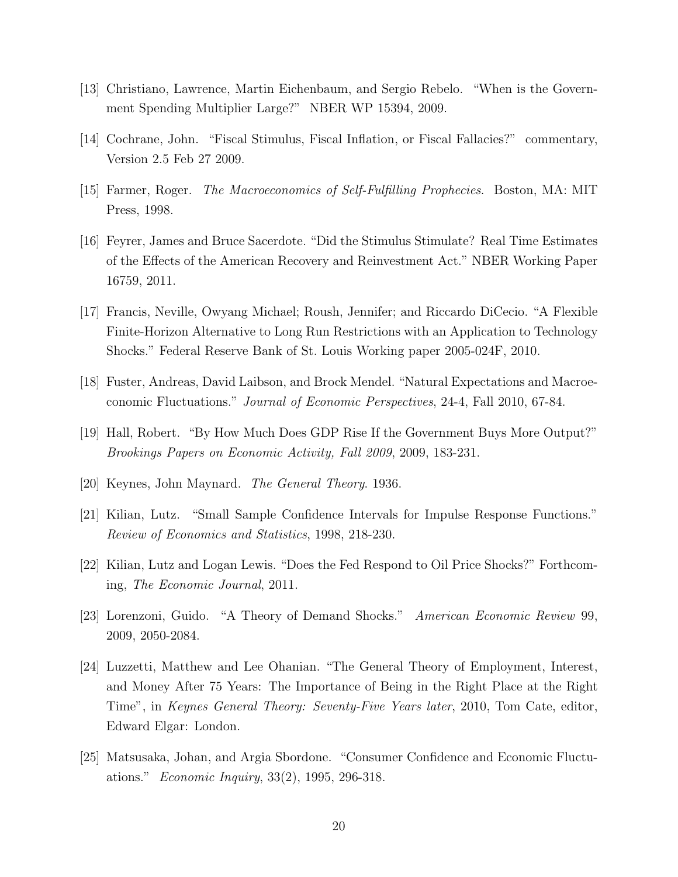- [13] Christiano, Lawrence, Martin Eichenbaum, and Sergio Rebelo. "When is the Government Spending Multiplier Large?" NBER WP 15394, 2009.
- [14] Cochrane, John. "Fiscal Stimulus, Fiscal Inflation, or Fiscal Fallacies?" commentary, Version 2.5 Feb 27 2009.
- [15] Farmer, Roger. The Macroeconomics of Self-Fulfilling Prophecies. Boston, MA: MIT Press, 1998.
- [16] Feyrer, James and Bruce Sacerdote. "Did the Stimulus Stimulate? Real Time Estimates of the Effects of the American Recovery and Reinvestment Act." NBER Working Paper 16759, 2011.
- [17] Francis, Neville, Owyang Michael; Roush, Jennifer; and Riccardo DiCecio. "A Flexible Finite-Horizon Alternative to Long Run Restrictions with an Application to Technology Shocks." Federal Reserve Bank of St. Louis Working paper 2005-024F, 2010.
- [18] Fuster, Andreas, David Laibson, and Brock Mendel. "Natural Expectations and Macroeconomic Fluctuations." Journal of Economic Perspectives, 24-4, Fall 2010, 67-84.
- [19] Hall, Robert. "By How Much Does GDP Rise If the Government Buys More Output?" Brookings Papers on Economic Activity, Fall 2009, 2009, 183-231.
- [20] Keynes, John Maynard. The General Theory. 1936.
- [21] Kilian, Lutz. "Small Sample Confidence Intervals for Impulse Response Functions." Review of Economics and Statistics, 1998, 218-230.
- [22] Kilian, Lutz and Logan Lewis. "Does the Fed Respond to Oil Price Shocks?" Forthcoming, The Economic Journal, 2011.
- [23] Lorenzoni, Guido. "A Theory of Demand Shocks." American Economic Review 99, 2009, 2050-2084.
- [24] Luzzetti, Matthew and Lee Ohanian. "The General Theory of Employment, Interest, and Money After 75 Years: The Importance of Being in the Right Place at the Right Time", in Keynes General Theory: Seventy-Five Years later, 2010, Tom Cate, editor, Edward Elgar: London.
- [25] Matsusaka, Johan, and Argia Sbordone. "Consumer Confidence and Economic Fluctuations." Economic Inquiry, 33(2), 1995, 296-318.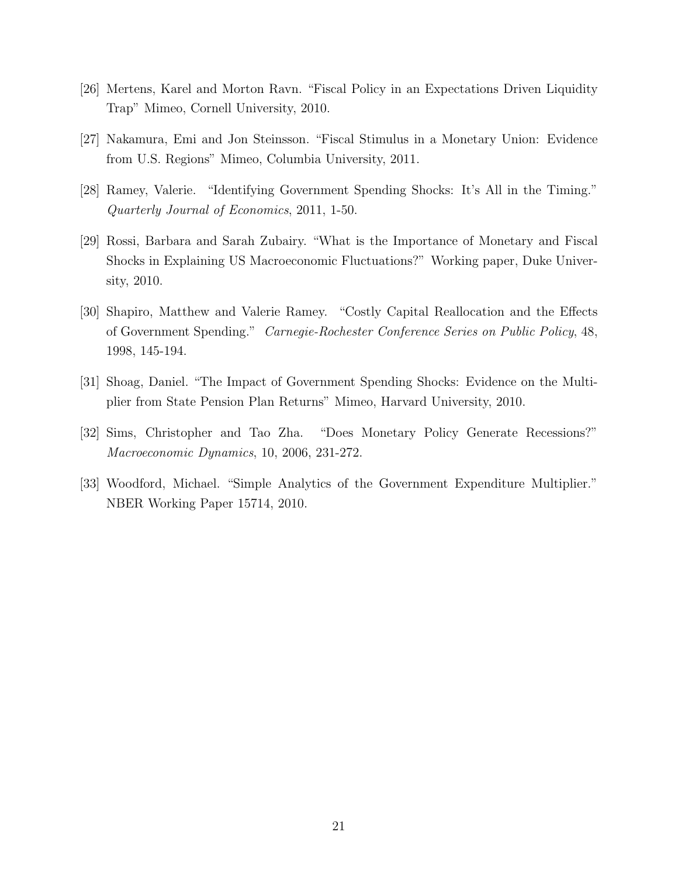- [26] Mertens, Karel and Morton Ravn. "Fiscal Policy in an Expectations Driven Liquidity Trap" Mimeo, Cornell University, 2010.
- [27] Nakamura, Emi and Jon Steinsson. "Fiscal Stimulus in a Monetary Union: Evidence from U.S. Regions" Mimeo, Columbia University, 2011.
- [28] Ramey, Valerie. "Identifying Government Spending Shocks: It's All in the Timing." Quarterly Journal of Economics, 2011, 1-50.
- [29] Rossi, Barbara and Sarah Zubairy. "What is the Importance of Monetary and Fiscal Shocks in Explaining US Macroeconomic Fluctuations?" Working paper, Duke University, 2010.
- [30] Shapiro, Matthew and Valerie Ramey. "Costly Capital Reallocation and the Effects of Government Spending." Carnegie-Rochester Conference Series on Public Policy, 48, 1998, 145-194.
- [31] Shoag, Daniel. "The Impact of Government Spending Shocks: Evidence on the Multiplier from State Pension Plan Returns" Mimeo, Harvard University, 2010.
- [32] Sims, Christopher and Tao Zha. "Does Monetary Policy Generate Recessions?" Macroeconomic Dynamics, 10, 2006, 231-272.
- [33] Woodford, Michael. "Simple Analytics of the Government Expenditure Multiplier." NBER Working Paper 15714, 2010.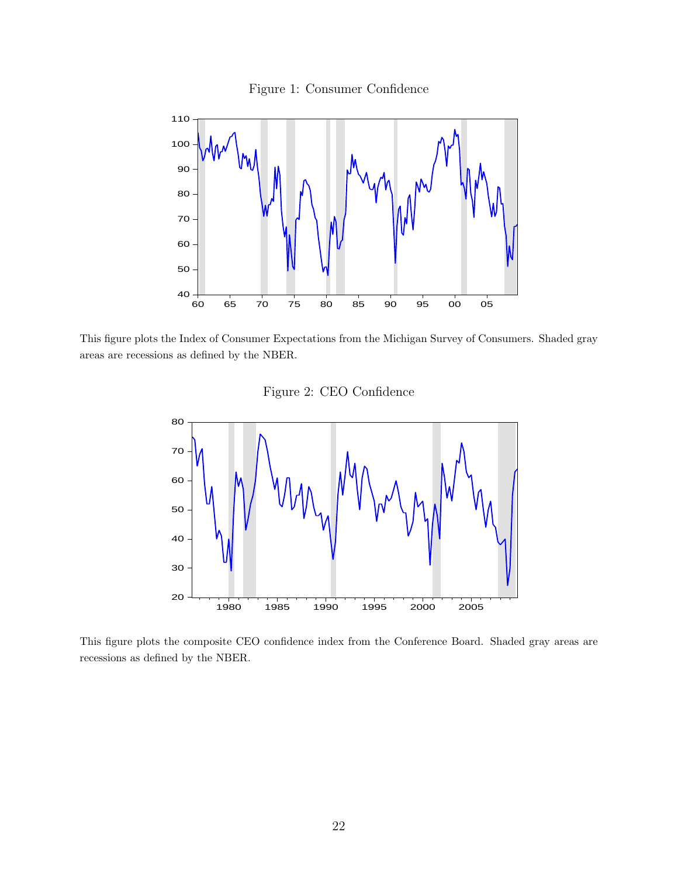Figure 1: Consumer Confidence



This figure plots the Index of Consumer Expectations from the Michigan Survey of Consumers. Shaded gray areas are recessions as defined by the NBER.

Figure 2: CEO Confidence



This figure plots the composite CEO confidence index from the Conference Board. Shaded gray areas are recessions as defined by the NBER.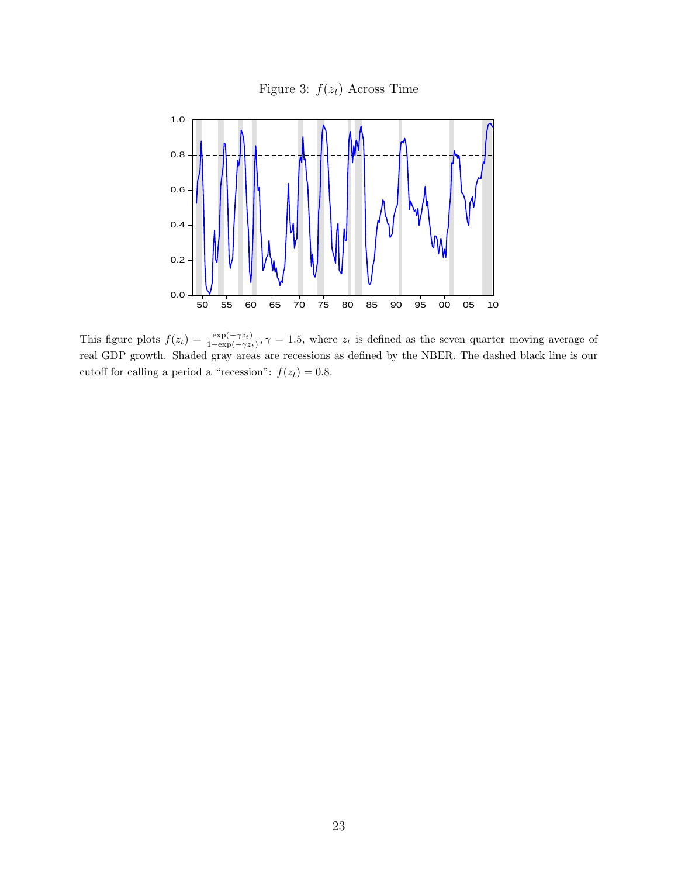Figure 3:  $f(z_t)$  Across Time



This figure plots  $f(z_t) = \frac{\exp(-\gamma z_t)}{1+\exp(-\gamma z_t)}$ ,  $\gamma = 1.5$ , where  $z_t$  is defined as the seven quarter moving average of real GDP growth. Shaded gray areas are recessions as defined by the NBER. The dashed black line is our cutoff for calling a period a "recession":  $f(z_t) = 0.8$ .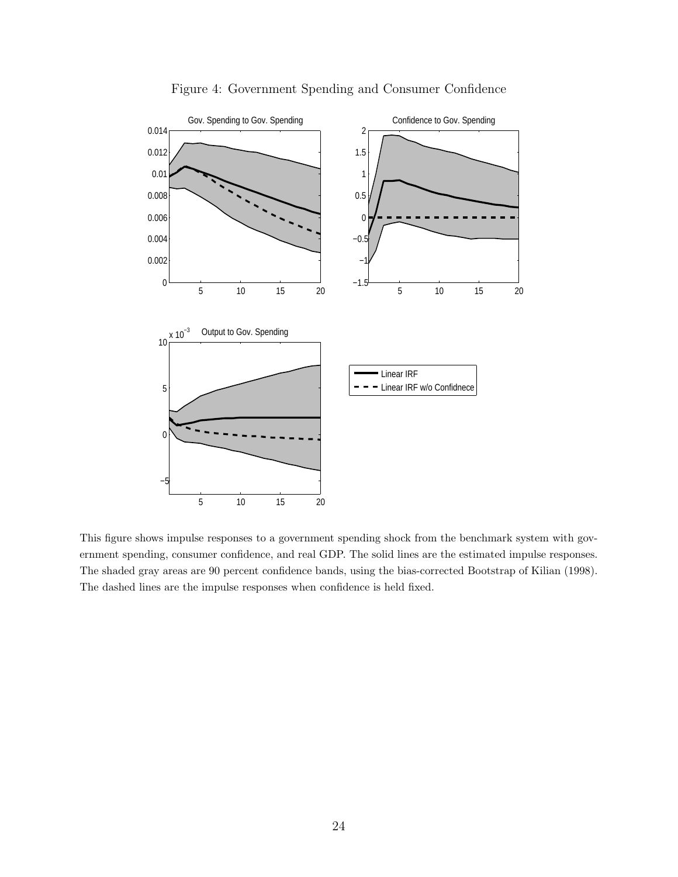

Figure 4: Government Spending and Consumer Confidence

This figure shows impulse responses to a government spending shock from the benchmark system with government spending, consumer confidence, and real GDP. The solid lines are the estimated impulse responses. The shaded gray areas are 90 percent confidence bands, using the bias-corrected Bootstrap of Kilian (1998). The dashed lines are the impulse responses when confidence is held fixed.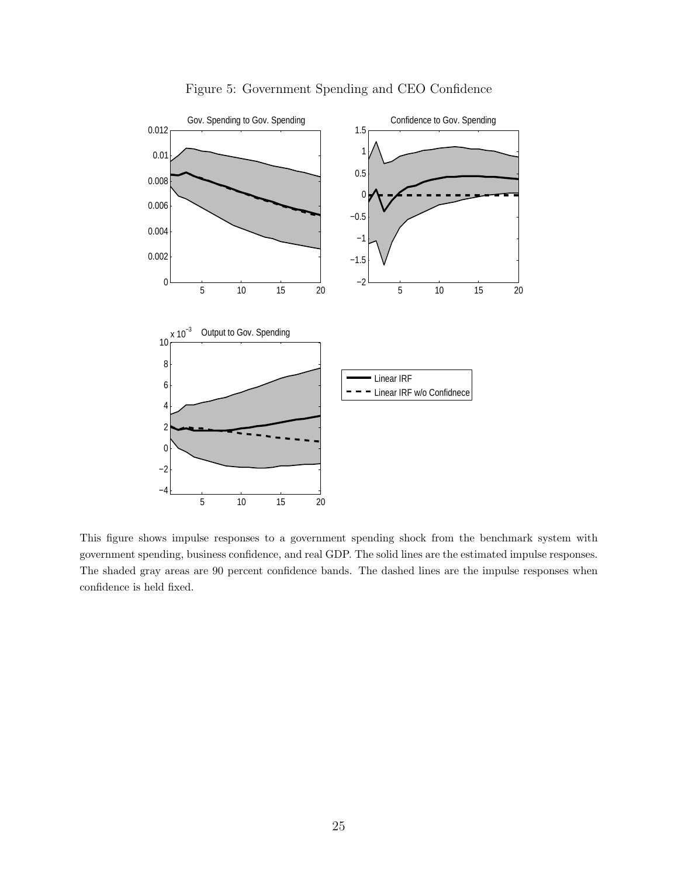

Figure 5: Government Spending and CEO Confidence

This figure shows impulse responses to a government spending shock from the benchmark system with government spending, business confidence, and real GDP. The solid lines are the estimated impulse responses. The shaded gray areas are 90 percent confidence bands. The dashed lines are the impulse responses when confidence is held fixed.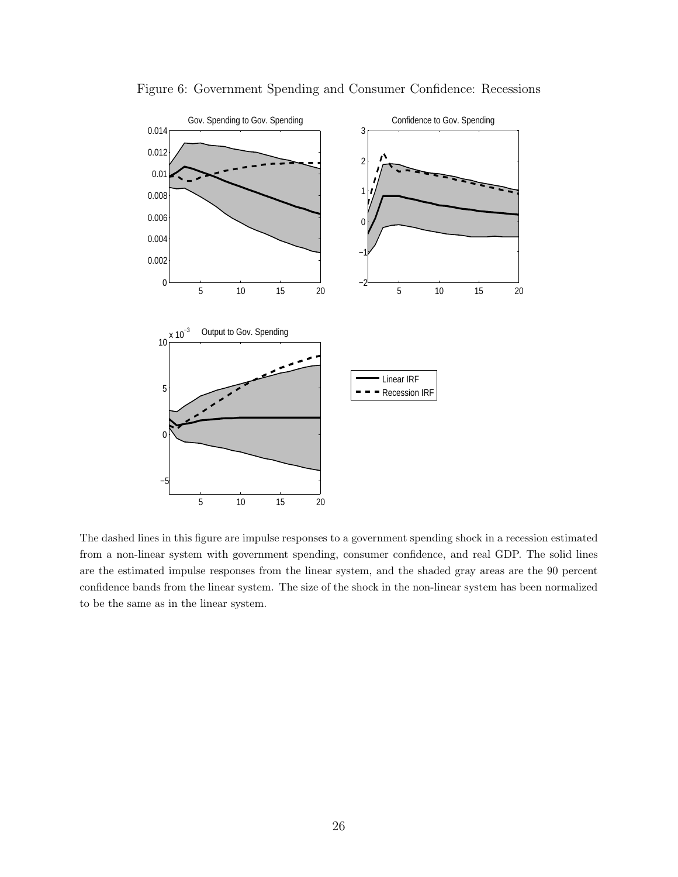

Figure 6: Government Spending and Consumer Confidence: Recessions

The dashed lines in this figure are impulse responses to a government spending shock in a recession estimated from a non-linear system with government spending, consumer confidence, and real GDP. The solid lines are the estimated impulse responses from the linear system, and the shaded gray areas are the 90 percent confidence bands from the linear system. The size of the shock in the non-linear system has been normalized to be the same as in the linear system.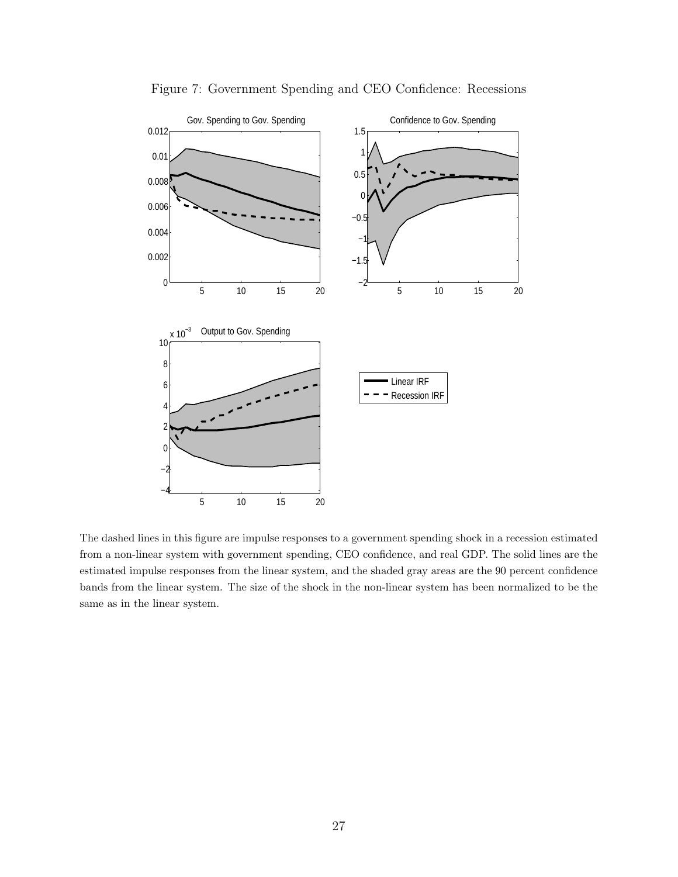

Figure 7: Government Spending and CEO Confidence: Recessions

The dashed lines in this figure are impulse responses to a government spending shock in a recession estimated from a non-linear system with government spending, CEO confidence, and real GDP. The solid lines are the estimated impulse responses from the linear system, and the shaded gray areas are the 90 percent confidence bands from the linear system. The size of the shock in the non-linear system has been normalized to be the same as in the linear system.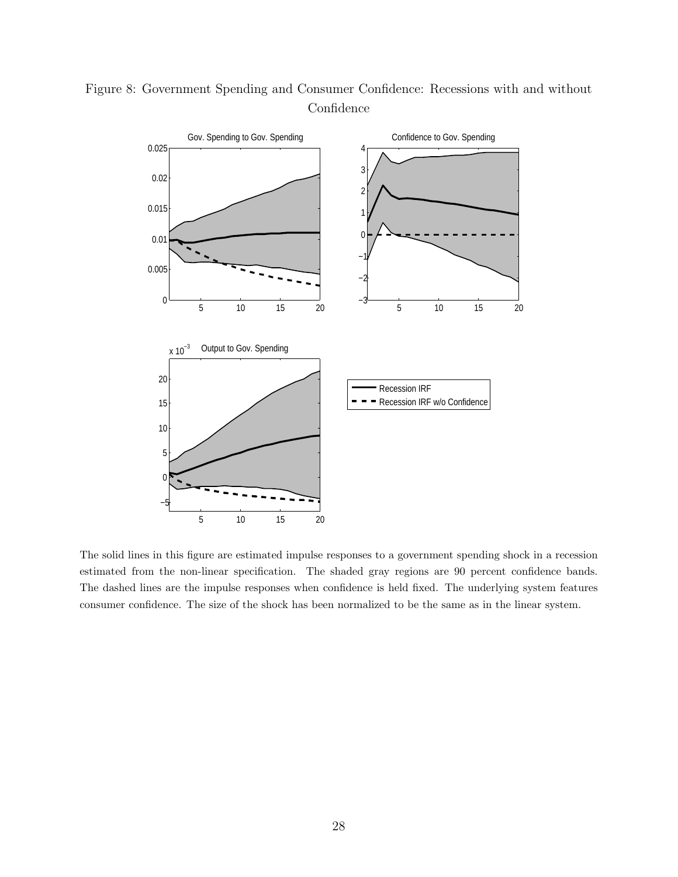

Figure 8: Government Spending and Consumer Confidence: Recessions with and without Confidence

The solid lines in this figure are estimated impulse responses to a government spending shock in a recession estimated from the non-linear specification. The shaded gray regions are 90 percent confidence bands. The dashed lines are the impulse responses when confidence is held fixed. The underlying system features consumer confidence. The size of the shock has been normalized to be the same as in the linear system.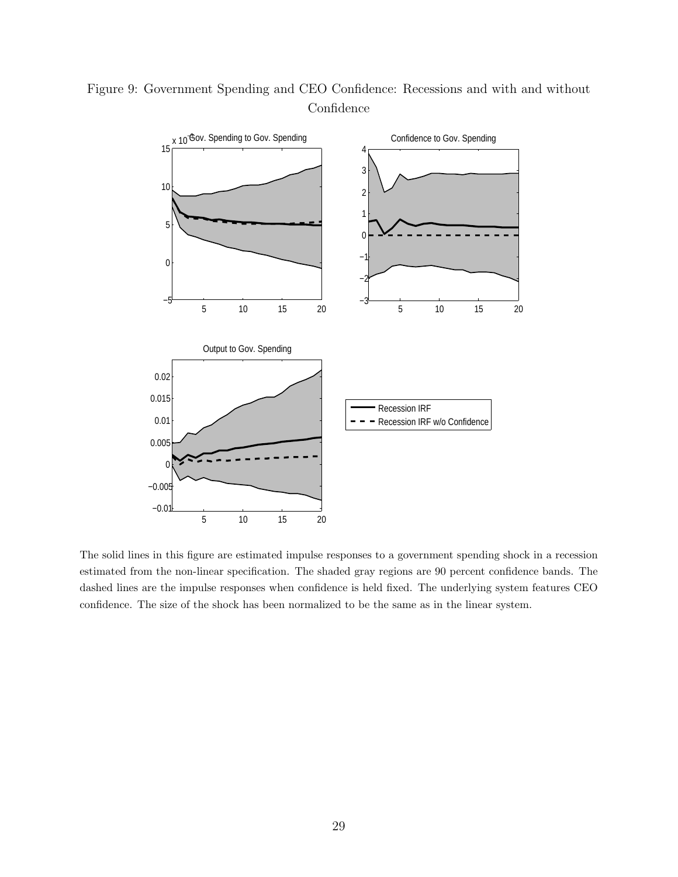

## Figure 9: Government Spending and CEO Confidence: Recessions and with and without Confidence

The solid lines in this figure are estimated impulse responses to a government spending shock in a recession estimated from the non-linear specification. The shaded gray regions are 90 percent confidence bands. The dashed lines are the impulse responses when confidence is held fixed. The underlying system features CEO confidence. The size of the shock has been normalized to be the same as in the linear system.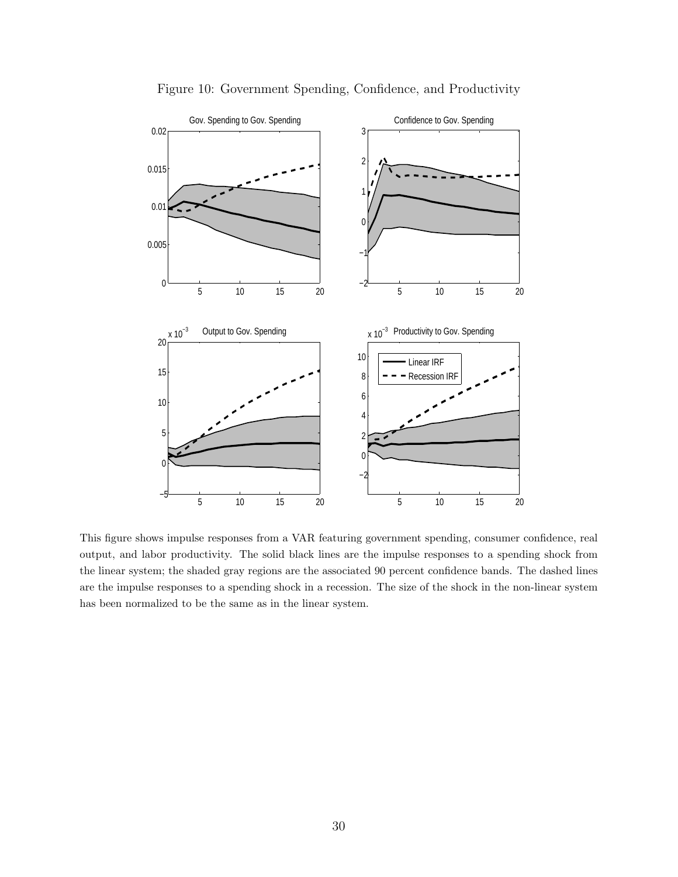

Figure 10: Government Spending, Confidence, and Productivity

This figure shows impulse responses from a VAR featuring government spending, consumer confidence, real output, and labor productivity. The solid black lines are the impulse responses to a spending shock from the linear system; the shaded gray regions are the associated 90 percent confidence bands. The dashed lines are the impulse responses to a spending shock in a recession. The size of the shock in the non-linear system has been normalized to be the same as in the linear system.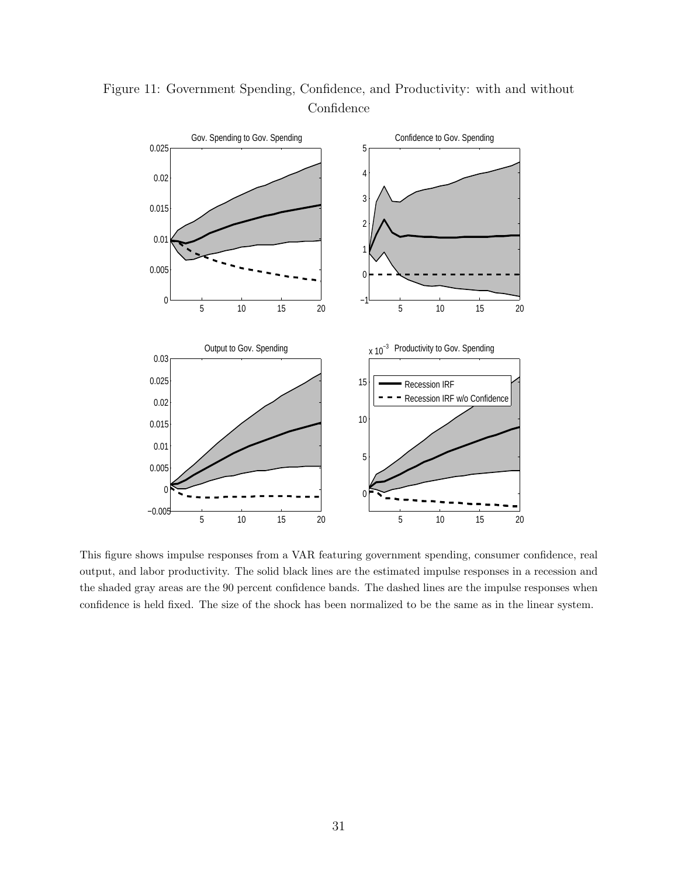

Figure 11: Government Spending, Confidence, and Productivity: with and without Confidence

This figure shows impulse responses from a VAR featuring government spending, consumer confidence, real output, and labor productivity. The solid black lines are the estimated impulse responses in a recession and the shaded gray areas are the 90 percent confidence bands. The dashed lines are the impulse responses when confidence is held fixed. The size of the shock has been normalized to be the same as in the linear system.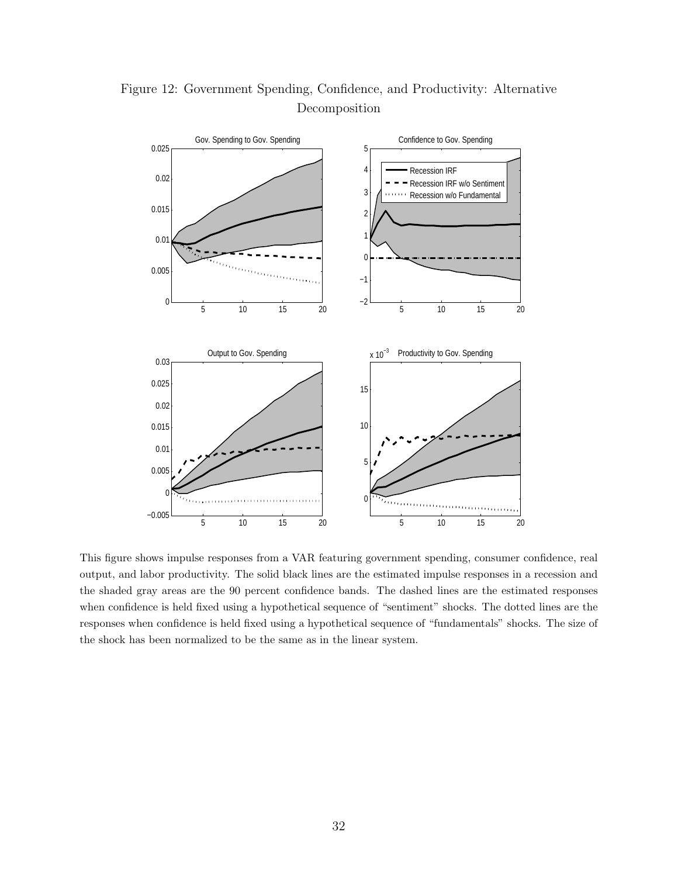

Figure 12: Government Spending, Confidence, and Productivity: Alternative Decomposition

This figure shows impulse responses from a VAR featuring government spending, consumer confidence, real output, and labor productivity. The solid black lines are the estimated impulse responses in a recession and the shaded gray areas are the 90 percent confidence bands. The dashed lines are the estimated responses when confidence is held fixed using a hypothetical sequence of "sentiment" shocks. The dotted lines are the responses when confidence is held fixed using a hypothetical sequence of "fundamentals" shocks. The size of the shock has been normalized to be the same as in the linear system.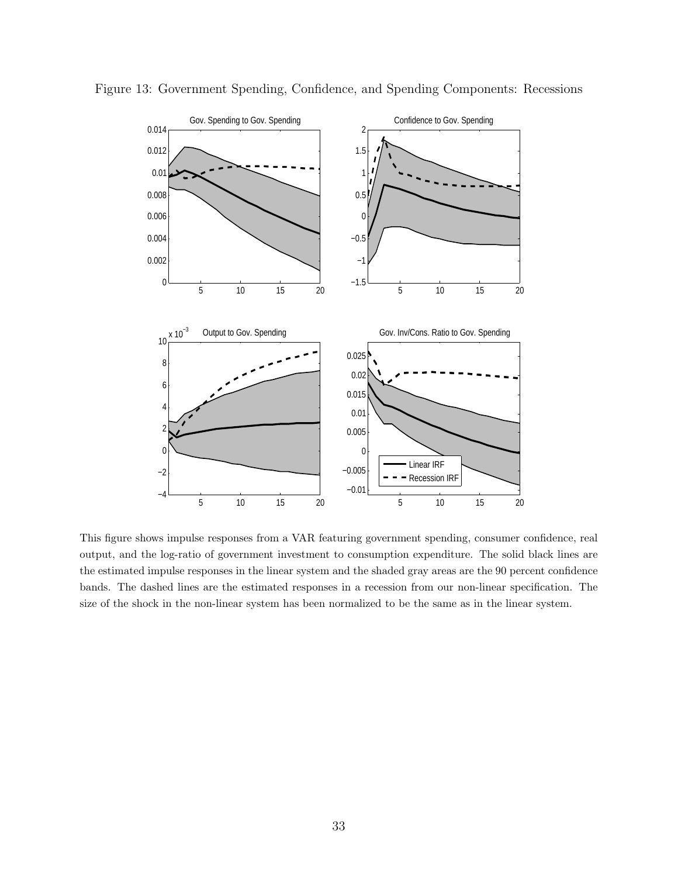

Figure 13: Government Spending, Confidence, and Spending Components: Recessions

This figure shows impulse responses from a VAR featuring government spending, consumer confidence, real output, and the log-ratio of government investment to consumption expenditure. The solid black lines are the estimated impulse responses in the linear system and the shaded gray areas are the 90 percent confidence bands. The dashed lines are the estimated responses in a recession from our non-linear specification. The size of the shock in the non-linear system has been normalized to be the same as in the linear system.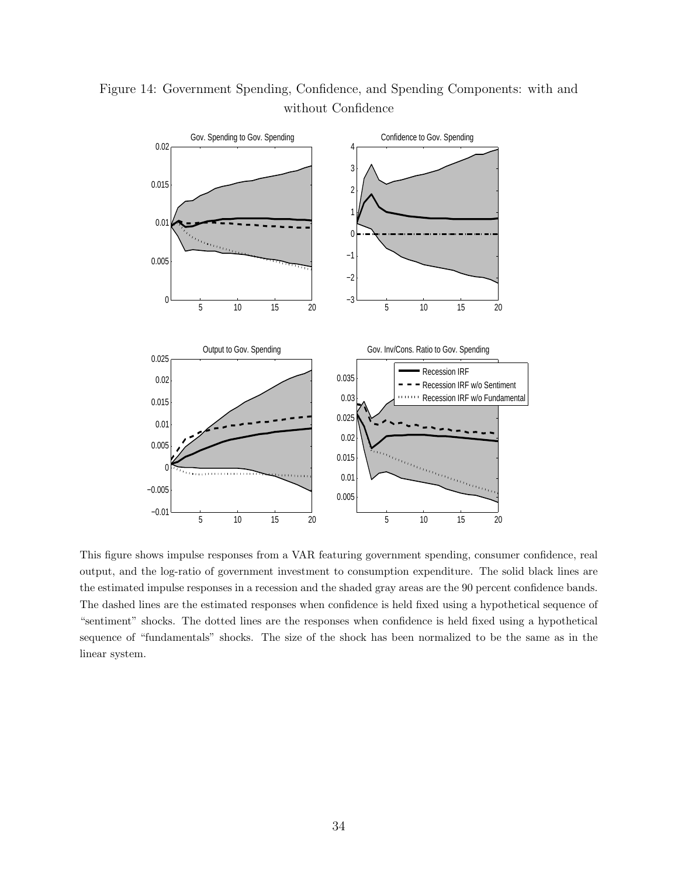

Figure 14: Government Spending, Confidence, and Spending Components: with and without Confidence

This figure shows impulse responses from a VAR featuring government spending, consumer confidence, real output, and the log-ratio of government investment to consumption expenditure. The solid black lines are the estimated impulse responses in a recession and the shaded gray areas are the 90 percent confidence bands. The dashed lines are the estimated responses when confidence is held fixed using a hypothetical sequence of "sentiment" shocks. The dotted lines are the responses when confidence is held fixed using a hypothetical sequence of "fundamentals" shocks. The size of the shock has been normalized to be the same as in the linear system.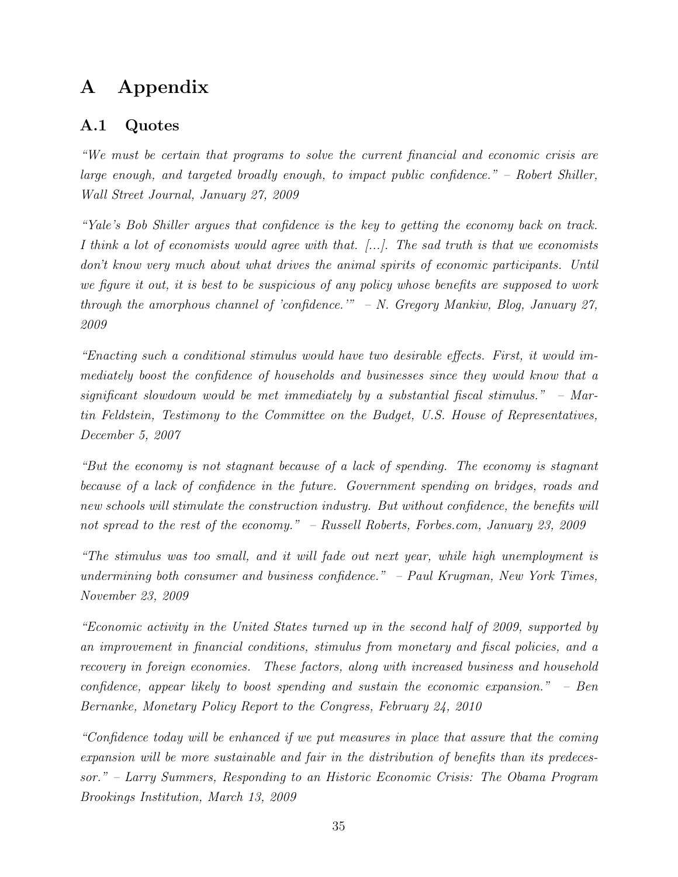# A Appendix

## A.1 Quotes

"We must be certain that programs to solve the current financial and economic crisis are large enough, and targeted broadly enough, to impact public confidence." – Robert Shiller, Wall Street Journal, January 27, 2009

"Yale's Bob Shiller argues that confidence is the key to getting the economy back on track. I think a lot of economists would agree with that.  $[\ldots]$ . The sad truth is that we economists don't know very much about what drives the animal spirits of economic participants. Until we figure it out, it is best to be suspicious of any policy whose benefits are supposed to work through the amorphous channel of 'confidence.'" – N. Gregory Mankiw, Blog, January 27, 2009

"Enacting such a conditional stimulus would have two desirable effects. First, it would immediately boost the confidence of households and businesses since they would know that a significant slowdown would be met immediately by a substantial fiscal stimulus." – Martin Feldstein, Testimony to the Committee on the Budget, U.S. House of Representatives, December 5, 2007

"But the economy is not stagnant because of a lack of spending. The economy is stagnant because of a lack of confidence in the future. Government spending on bridges, roads and new schools will stimulate the construction industry. But without confidence, the benefits will not spread to the rest of the economy." – Russell Roberts, Forbes.com, January 23, 2009

"The stimulus was too small, and it will fade out next year, while high unemployment is undermining both consumer and business confidence." – Paul Krugman, New York Times, November 23, 2009

"Economic activity in the United States turned up in the second half of 2009, supported by an improvement in financial conditions, stimulus from monetary and fiscal policies, and a recovery in foreign economies. These factors, along with increased business and household confidence, appear likely to boost spending and sustain the economic expansion." – Ben Bernanke, Monetary Policy Report to the Congress, February 24, 2010

"Confidence today will be enhanced if we put measures in place that assure that the coming expansion will be more sustainable and fair in the distribution of benefits than its predecessor." – Larry Summers, Responding to an Historic Economic Crisis: The Obama Program Brookings Institution, March 13, 2009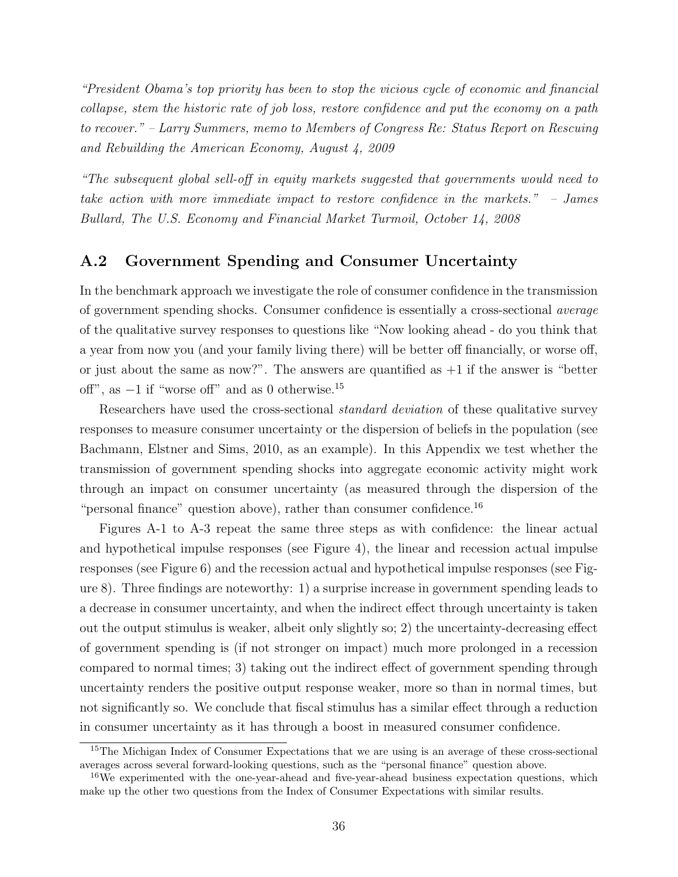"President Obama's top priority has been to stop the vicious cycle of economic and financial collapse, stem the historic rate of job loss, restore confidence and put the economy on a path to recover." – Larry Summers, memo to Members of Congress Re: Status Report on Rescuing and Rebuilding the American Economy, August 4, 2009

"The subsequent global sell-off in equity markets suggested that governments would need to take action with more immediate impact to restore confidence in the markets." – James Bullard, The U.S. Economy and Financial Market Turmoil, October 14, 2008

### A.2 Government Spending and Consumer Uncertainty

In the benchmark approach we investigate the role of consumer confidence in the transmission of government spending shocks. Consumer confidence is essentially a cross-sectional average of the qualitative survey responses to questions like "Now looking ahead - do you think that a year from now you (and your family living there) will be better off financially, or worse off, or just about the same as now?". The answers are quantified as  $+1$  if the answer is "better off", as  $-1$  if "worse off" and as 0 otherwise.<sup>15</sup>

Researchers have used the cross-sectional standard deviation of these qualitative survey responses to measure consumer uncertainty or the dispersion of beliefs in the population (see Bachmann, Elstner and Sims, 2010, as an example). In this Appendix we test whether the transmission of government spending shocks into aggregate economic activity might work through an impact on consumer uncertainty (as measured through the dispersion of the "personal finance" question above), rather than consumer confidence. $^{16}$ 

Figures A-1 to A-3 repeat the same three steps as with confidence: the linear actual and hypothetical impulse responses (see Figure 4), the linear and recession actual impulse responses (see Figure 6) and the recession actual and hypothetical impulse responses (see Figure 8). Three findings are noteworthy: 1) a surprise increase in government spending leads to a decrease in consumer uncertainty, and when the indirect effect through uncertainty is taken out the output stimulus is weaker, albeit only slightly so; 2) the uncertainty-decreasing effect of government spending is (if not stronger on impact) much more prolonged in a recession compared to normal times; 3) taking out the indirect effect of government spending through uncertainty renders the positive output response weaker, more so than in normal times, but not significantly so. We conclude that fiscal stimulus has a similar effect through a reduction in consumer uncertainty as it has through a boost in measured consumer confidence.

<sup>&</sup>lt;sup>15</sup>The Michigan Index of Consumer Expectations that we are using is an average of these cross-sectional averages across several forward-looking questions, such as the "personal finance" question above.

<sup>&</sup>lt;sup>16</sup>We experimented with the one-year-ahead and five-year-ahead business expectation questions, which make up the other two questions from the Index of Consumer Expectations with similar results.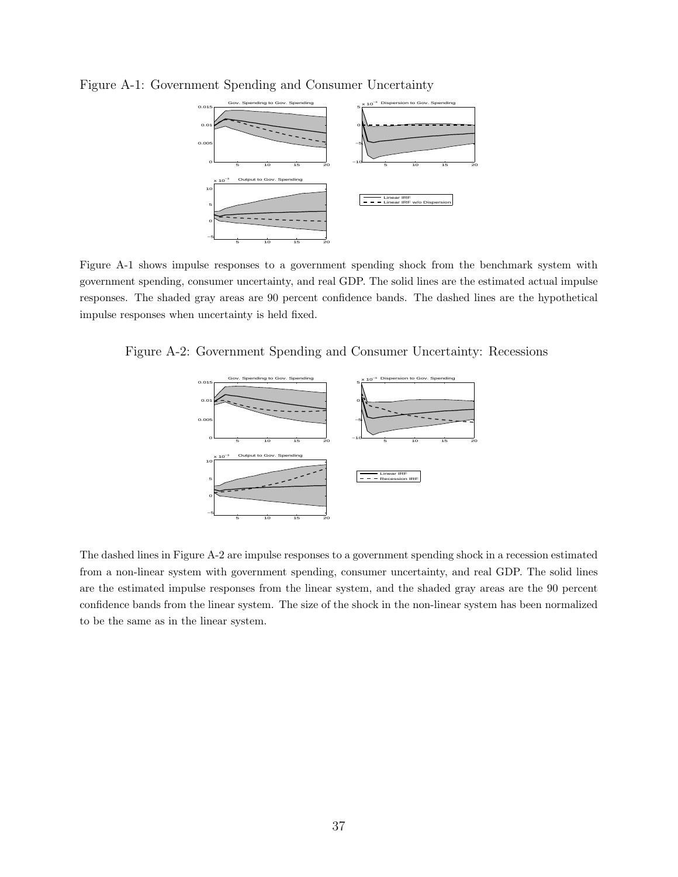

Figure A-1: Government Spending and Consumer Uncertainty

Figure A-1 shows impulse responses to a government spending shock from the benchmark system with government spending, consumer uncertainty, and real GDP. The solid lines are the estimated actual impulse responses. The shaded gray areas are 90 percent confidence bands. The dashed lines are the hypothetical impulse responses when uncertainty is held fixed.

Figure A-2: Government Spending and Consumer Uncertainty: Recessions



The dashed lines in Figure A-2 are impulse responses to a government spending shock in a recession estimated from a non-linear system with government spending, consumer uncertainty, and real GDP. The solid lines are the estimated impulse responses from the linear system, and the shaded gray areas are the 90 percent confidence bands from the linear system. The size of the shock in the non-linear system has been normalized to be the same as in the linear system.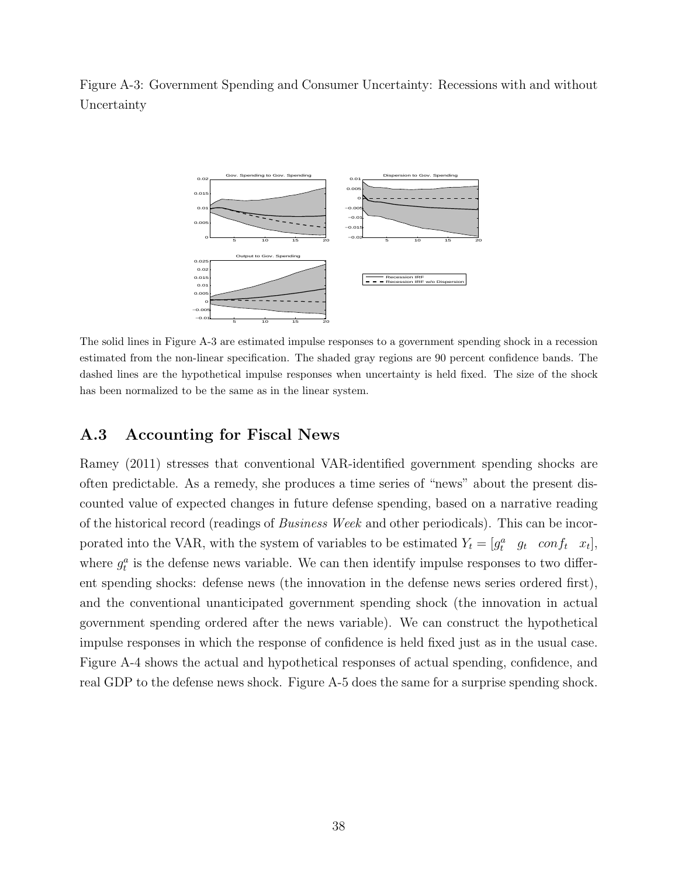Figure A-3: Government Spending and Consumer Uncertainty: Recessions with and without Uncertainty



The solid lines in Figure A-3 are estimated impulse responses to a government spending shock in a recession estimated from the non-linear specification. The shaded gray regions are 90 percent confidence bands. The dashed lines are the hypothetical impulse responses when uncertainty is held fixed. The size of the shock has been normalized to be the same as in the linear system.

### A.3 Accounting for Fiscal News

Ramey (2011) stresses that conventional VAR-identified government spending shocks are often predictable. As a remedy, she produces a time series of "news" about the present discounted value of expected changes in future defense spending, based on a narrative reading of the historical record (readings of Business Week and other periodicals). This can be incorporated into the VAR, with the system of variables to be estimated  $Y_t = [g_t^a \quad g_t \quad conf_t \quad x_t],$ where  $g_t^a$  is the defense news variable. We can then identify impulse responses to two different spending shocks: defense news (the innovation in the defense news series ordered first), and the conventional unanticipated government spending shock (the innovation in actual government spending ordered after the news variable). We can construct the hypothetical impulse responses in which the response of confidence is held fixed just as in the usual case. Figure A-4 shows the actual and hypothetical responses of actual spending, confidence, and real GDP to the defense news shock. Figure A-5 does the same for a surprise spending shock.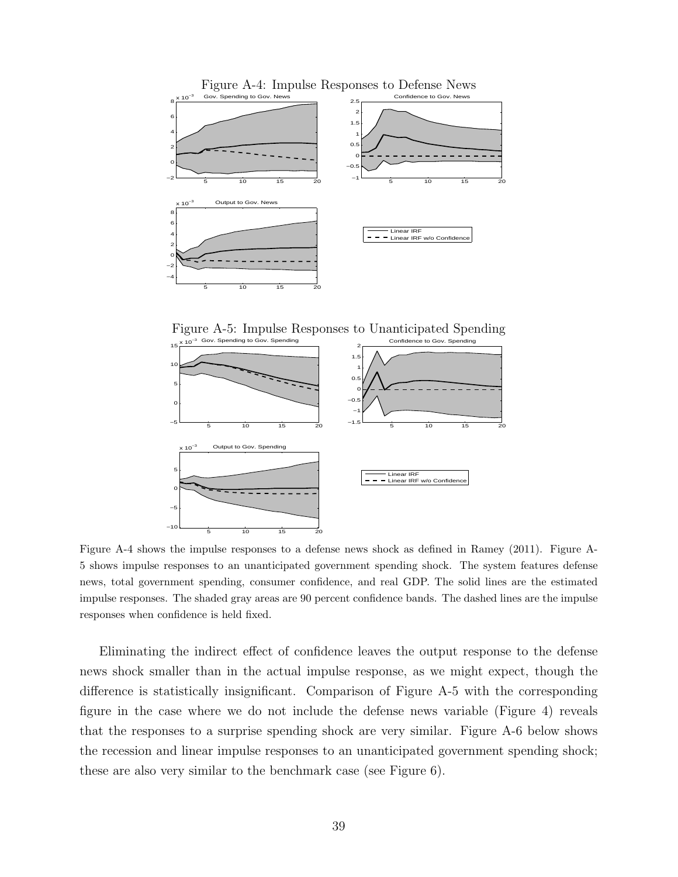

Figure A-5: Impulse Responses to Unanticipated Spending



Figure A-4 shows the impulse responses to a defense news shock as defined in Ramey (2011). Figure A-5 shows impulse responses to an unanticipated government spending shock. The system features defense news, total government spending, consumer confidence, and real GDP. The solid lines are the estimated impulse responses. The shaded gray areas are 90 percent confidence bands. The dashed lines are the impulse responses when confidence is held fixed.

Eliminating the indirect effect of confidence leaves the output response to the defense news shock smaller than in the actual impulse response, as we might expect, though the difference is statistically insignificant. Comparison of Figure A-5 with the corresponding figure in the case where we do not include the defense news variable (Figure 4) reveals that the responses to a surprise spending shock are very similar. Figure A-6 below shows the recession and linear impulse responses to an unanticipated government spending shock; these are also very similar to the benchmark case (see Figure 6).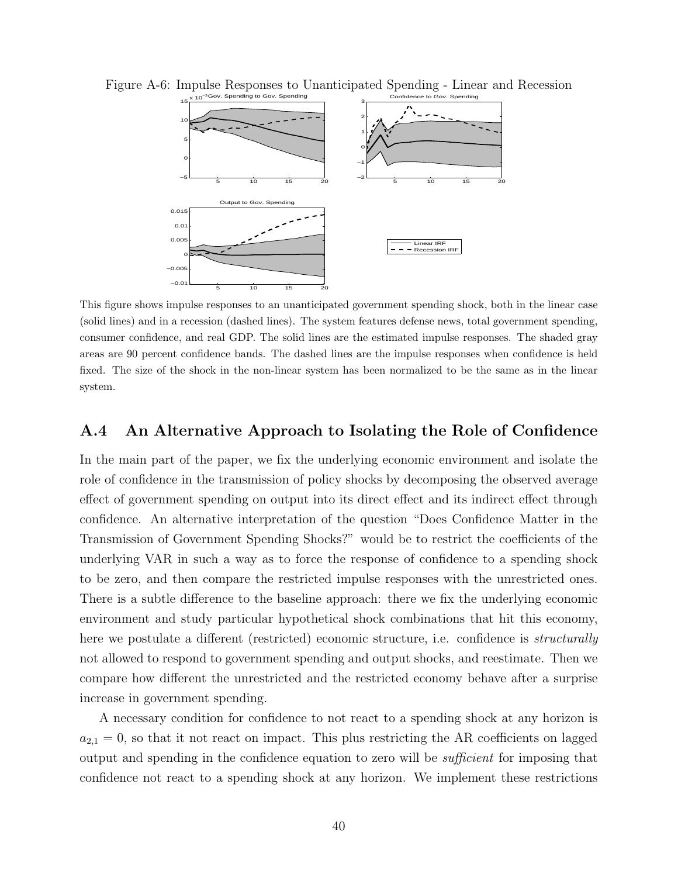

Figure A-6: Impulse Responses to Unanticipated Spending - Linear and Recession

This figure shows impulse responses to an unanticipated government spending shock, both in the linear case (solid lines) and in a recession (dashed lines). The system features defense news, total government spending, consumer confidence, and real GDP. The solid lines are the estimated impulse responses. The shaded gray areas are 90 percent confidence bands. The dashed lines are the impulse responses when confidence is held fixed. The size of the shock in the non-linear system has been normalized to be the same as in the linear system.

### A.4 An Alternative Approach to Isolating the Role of Confidence

In the main part of the paper, we fix the underlying economic environment and isolate the role of confidence in the transmission of policy shocks by decomposing the observed average effect of government spending on output into its direct effect and its indirect effect through confidence. An alternative interpretation of the question "Does Confidence Matter in the Transmission of Government Spending Shocks?" would be to restrict the coefficients of the underlying VAR in such a way as to force the response of confidence to a spending shock to be zero, and then compare the restricted impulse responses with the unrestricted ones. There is a subtle difference to the baseline approach: there we fix the underlying economic environment and study particular hypothetical shock combinations that hit this economy, here we postulate a different (restricted) economic structure, i.e. confidence is *structurally* not allowed to respond to government spending and output shocks, and reestimate. Then we compare how different the unrestricted and the restricted economy behave after a surprise increase in government spending.

A necessary condition for confidence to not react to a spending shock at any horizon is  $a_{2,1} = 0$ , so that it not react on impact. This plus restricting the AR coefficients on lagged output and spending in the confidence equation to zero will be sufficient for imposing that confidence not react to a spending shock at any horizon. We implement these restrictions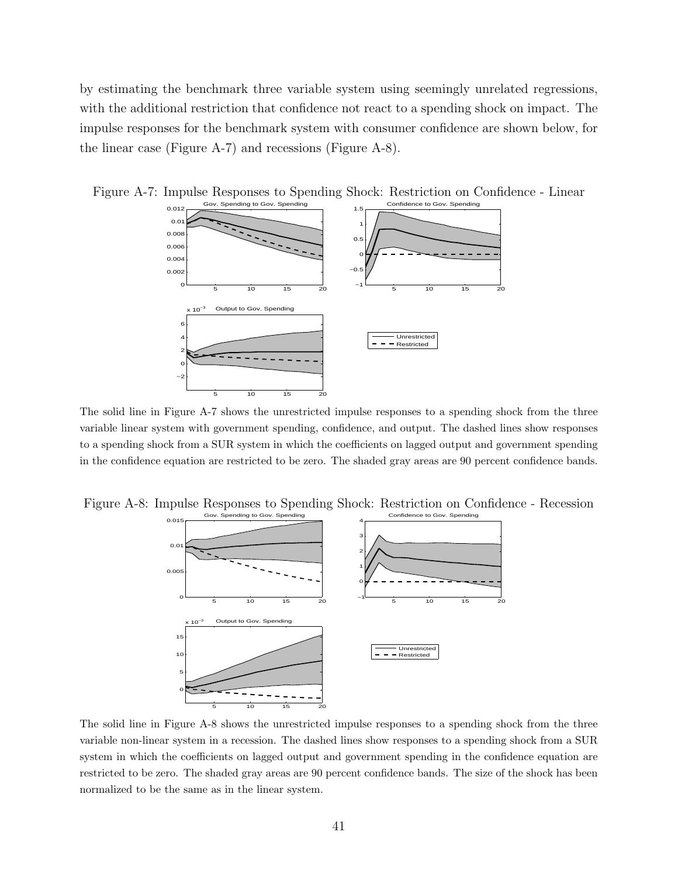by estimating the benchmark three variable system using seemingly unrelated regressions, with the additional restriction that confidence not react to a spending shock on impact. The impulse responses for the benchmark system with consumer confidence are shown below, for the linear case (Figure A-7) and recessions (Figure A-8).



Figure A-7: Impulse Responses to Spending Shock: Restriction on Confidence - Linear

The solid line in Figure A-7 shows the unrestricted impulse responses to a spending shock from the three variable linear system with government spending, confidence, and output. The dashed lines show responses to a spending shock from a SUR system in which the coefficients on lagged output and government spending in the confidence equation are restricted to be zero. The shaded gray areas are 90 percent confidence bands.

Figure A-8: Impulse Responses to Spending Shock: Restriction on Confidence - Recession



The solid line in Figure A-8 shows the unrestricted impulse responses to a spending shock from the three variable non-linear system in a recession. The dashed lines show responses to a spending shock from a SUR system in which the coefficients on lagged output and government spending in the confidence equation are restricted to be zero. The shaded gray areas are 90 percent confidence bands. The size of the shock has been normalized to be the same as in the linear system.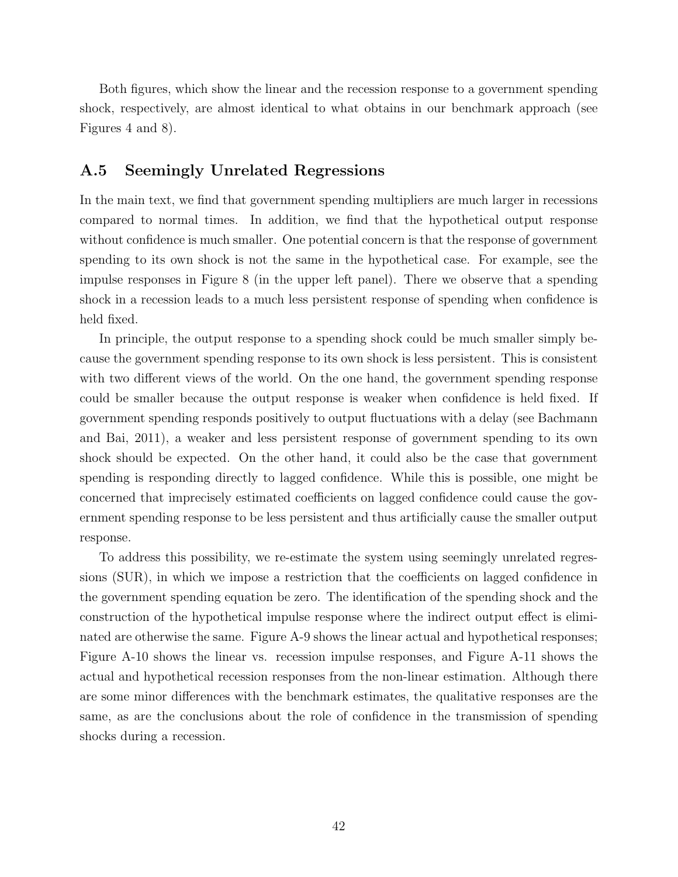Both figures, which show the linear and the recession response to a government spending shock, respectively, are almost identical to what obtains in our benchmark approach (see Figures 4 and 8).

### A.5 Seemingly Unrelated Regressions

In the main text, we find that government spending multipliers are much larger in recessions compared to normal times. In addition, we find that the hypothetical output response without confidence is much smaller. One potential concern is that the response of government spending to its own shock is not the same in the hypothetical case. For example, see the impulse responses in Figure 8 (in the upper left panel). There we observe that a spending shock in a recession leads to a much less persistent response of spending when confidence is held fixed.

In principle, the output response to a spending shock could be much smaller simply because the government spending response to its own shock is less persistent. This is consistent with two different views of the world. On the one hand, the government spending response could be smaller because the output response is weaker when confidence is held fixed. If government spending responds positively to output fluctuations with a delay (see Bachmann and Bai, 2011), a weaker and less persistent response of government spending to its own shock should be expected. On the other hand, it could also be the case that government spending is responding directly to lagged confidence. While this is possible, one might be concerned that imprecisely estimated coefficients on lagged confidence could cause the government spending response to be less persistent and thus artificially cause the smaller output response.

To address this possibility, we re-estimate the system using seemingly unrelated regressions (SUR), in which we impose a restriction that the coefficients on lagged confidence in the government spending equation be zero. The identification of the spending shock and the construction of the hypothetical impulse response where the indirect output effect is eliminated are otherwise the same. Figure A-9 shows the linear actual and hypothetical responses; Figure A-10 shows the linear vs. recession impulse responses, and Figure A-11 shows the actual and hypothetical recession responses from the non-linear estimation. Although there are some minor differences with the benchmark estimates, the qualitative responses are the same, as are the conclusions about the role of confidence in the transmission of spending shocks during a recession.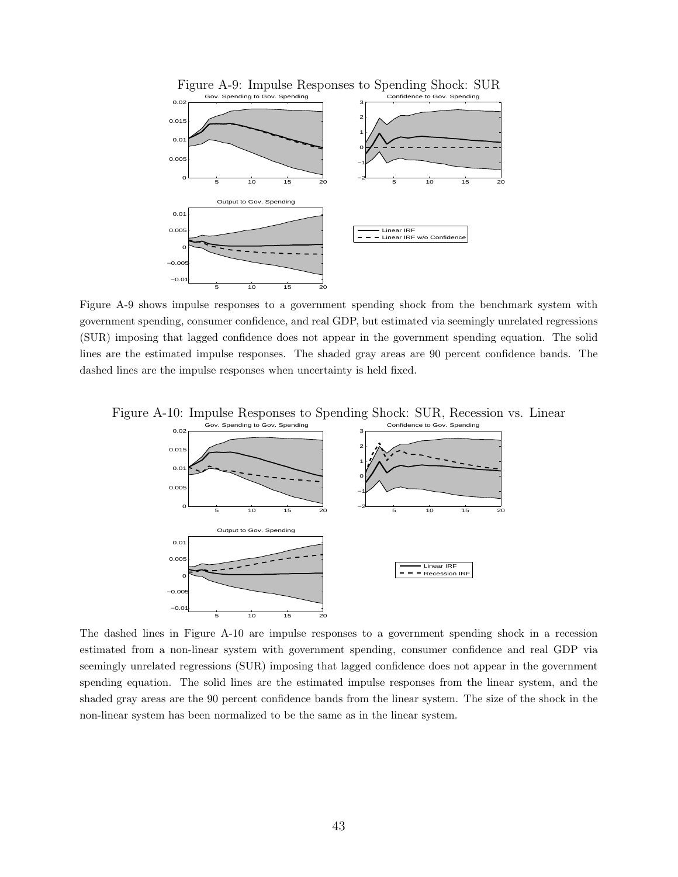

Figure A-9: Impulse Responses to Spending Shock: SUR

Figure A-9 shows impulse responses to a government spending shock from the benchmark system with government spending, consumer confidence, and real GDP, but estimated via seemingly unrelated regressions (SUR) imposing that lagged confidence does not appear in the government spending equation. The solid lines are the estimated impulse responses. The shaded gray areas are 90 percent confidence bands. The dashed lines are the impulse responses when uncertainty is held fixed.





The dashed lines in Figure A-10 are impulse responses to a government spending shock in a recession estimated from a non-linear system with government spending, consumer confidence and real GDP via seemingly unrelated regressions (SUR) imposing that lagged confidence does not appear in the government spending equation. The solid lines are the estimated impulse responses from the linear system, and the shaded gray areas are the 90 percent confidence bands from the linear system. The size of the shock in the non-linear system has been normalized to be the same as in the linear system.